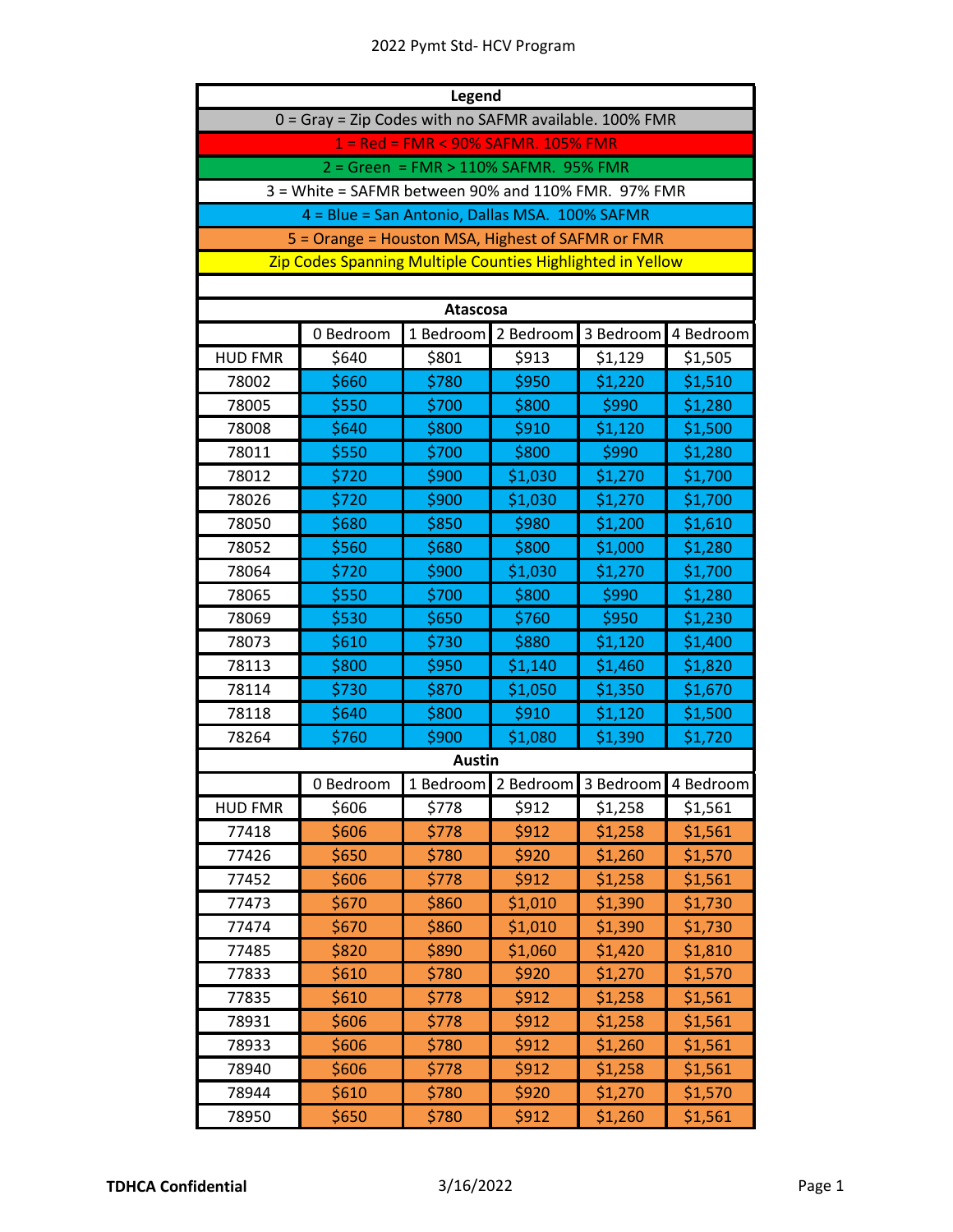## 2022 Pymt Std- HCV Program

| <b>Legend</b>  |                                                            |                                       |                               |           |           |
|----------------|------------------------------------------------------------|---------------------------------------|-------------------------------|-----------|-----------|
|                | 0 = Gray = Zip Codes with no SAFMR available. 100% FMR     |                                       |                               |           |           |
|                |                                                            | 1 = Red = FMR < 90% SAFMR. 105% FMR   |                               |           |           |
|                |                                                            | 2 = Green = FMR > 110% SAFMR. 95% FMR |                               |           |           |
|                | 3 = White = SAFMR between 90% and 110% FMR. 97% FMR        |                                       |                               |           |           |
|                | 4 = Blue = San Antonio, Dallas MSA. 100% SAFMR             |                                       |                               |           |           |
|                | 5 = Orange = Houston MSA, Highest of SAFMR or FMR          |                                       |                               |           |           |
|                | Zip Codes Spanning Multiple Counties Highlighted in Yellow |                                       |                               |           |           |
|                |                                                            |                                       |                               |           |           |
|                |                                                            | <b>Atascosa</b>                       |                               |           |           |
|                | 0 Bedroom                                                  | 1 Bedroom                             | 2 Bedroom                     | 3 Bedroom | 4 Bedroom |
| <b>HUD FMR</b> | \$640                                                      | \$801                                 | \$913                         | \$1,129   | \$1,505   |
| 78002          | \$660                                                      | \$780                                 | \$950                         | \$1,220   | \$1,510   |
| 78005          | \$550                                                      | \$700                                 | \$800                         | \$990     | \$1,280   |
| 78008          | \$640                                                      | \$800                                 | \$910                         | \$1,120   | \$1,500   |
| 78011          | \$550                                                      | \$700                                 | \$800                         | \$990     | \$1,280   |
| 78012          | \$720                                                      | \$900                                 | \$1,030                       | \$1,270   | \$1,700   |
| 78026          | \$720                                                      | \$900                                 | \$1,030                       | \$1,270   | \$1,700   |
| 78050          | \$680                                                      | \$850                                 | \$980                         | \$1,200   | \$1,610   |
| 78052          | \$560                                                      | \$680                                 | \$800                         | \$1,000   | \$1,280   |
| 78064          | \$720                                                      | \$900                                 | \$1,030                       | \$1,270   | \$1,700   |
| 78065          | \$550                                                      | \$700                                 | \$800                         | \$990     | \$1,280   |
| 78069          | \$530                                                      | \$650                                 | \$760                         | \$950     | \$1,230   |
| 78073          | \$610                                                      | \$730                                 | \$880                         | \$1,120   | \$1,400   |
| 78113          | \$800                                                      | \$950                                 | \$1,140                       | \$1,460   | \$1,820   |
| 78114          | \$730                                                      | \$870                                 | \$1,050                       | \$1,350   | \$1,670   |
| 78118          | \$640                                                      | \$800                                 | \$910                         | \$1,120   | \$1,500   |
| 78264          | \$760                                                      | \$900                                 | \$1,080                       | \$1,390   | \$1,720   |
|                |                                                            | <b>Austin</b>                         |                               |           |           |
|                | 0 Bedroom                                                  |                                       | 1 Bedroom 2 Bedroom 3 Bedroom |           | 4 Bedroom |
| <b>HUD FMR</b> | \$606                                                      | \$778                                 | \$912                         | \$1,258   | \$1,561   |
| 77418          | \$606                                                      | \$778                                 | \$912                         | \$1,258   | \$1,561   |
| 77426          | \$650                                                      | \$780                                 | \$920                         | \$1,260   | \$1,570   |
| 77452          | \$606                                                      | \$778                                 | \$912                         | \$1,258   | \$1,561   |
| 77473          | \$670                                                      | \$860                                 | \$1,010                       | \$1,390   | \$1,730   |
| 77474          | \$670                                                      | \$860                                 | \$1,010                       | \$1,390   | \$1,730   |
| 77485          | \$820                                                      | \$890                                 | \$1,060                       | \$1,420   | \$1,810   |
| 77833          | \$610                                                      | \$780                                 | \$920                         | \$1,270   | \$1,570   |
| 77835          | \$610                                                      | \$778                                 | \$912                         | \$1,258   | \$1,561   |
| 78931          | \$606                                                      | \$778                                 | \$912                         | \$1,258   | \$1,561   |
| 78933          | \$606                                                      | \$780                                 | \$912                         | \$1,260   | \$1,561   |
| 78940          | \$606                                                      | \$778                                 | \$912                         | \$1,258   | \$1,561   |
| 78944          | \$610                                                      | \$780                                 | \$920                         | \$1,270   | \$1,570   |
| 78950          | \$650                                                      | \$780                                 | \$912                         | \$1,260   | \$1,561   |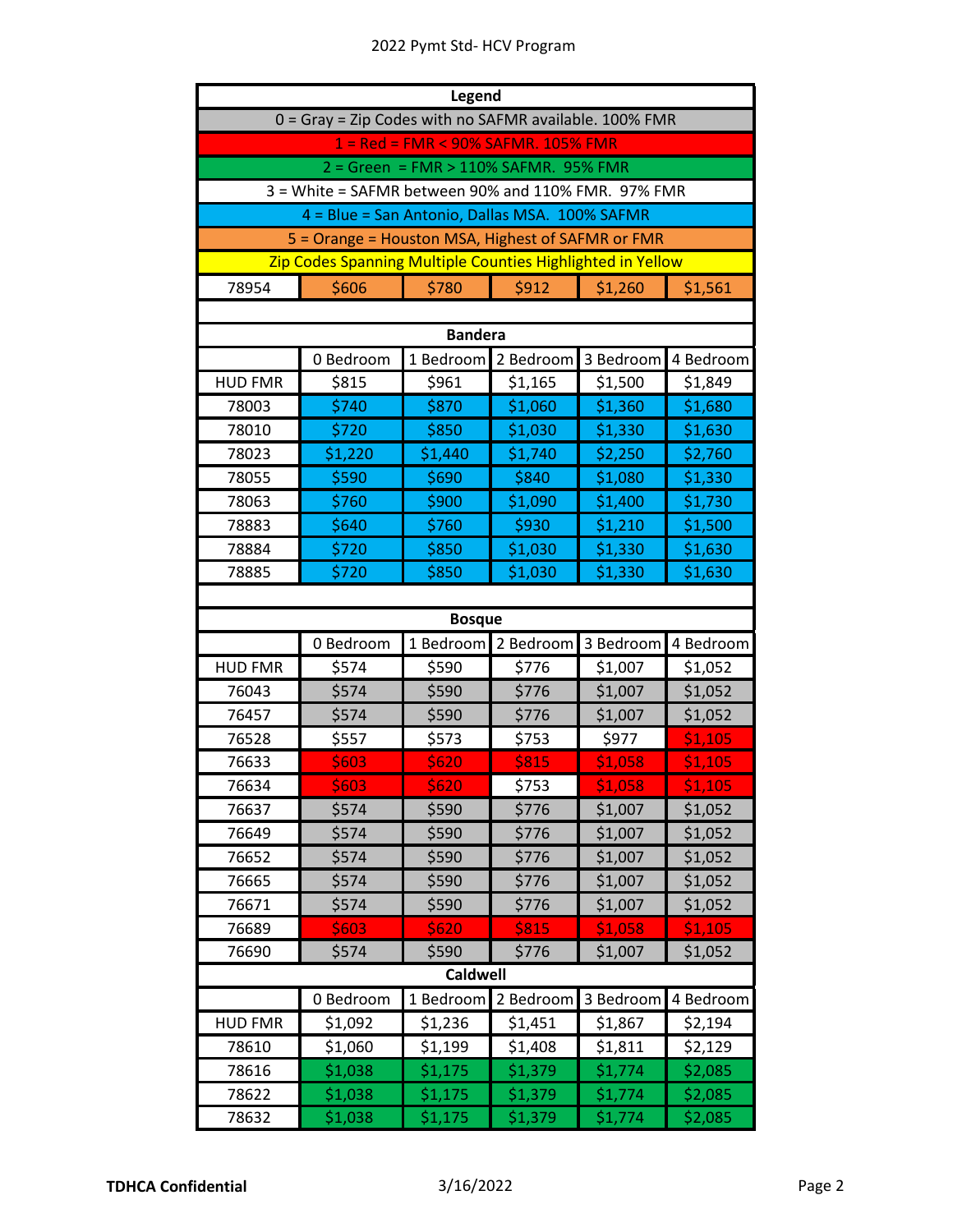## 2022 Pymt Std- HCV Program

| <b>Legend</b>  |                                                            |                                       |           |           |           |
|----------------|------------------------------------------------------------|---------------------------------------|-----------|-----------|-----------|
|                | 0 = Gray = Zip Codes with no SAFMR available. 100% FMR     |                                       |           |           |           |
|                |                                                            | 1 = Red = FMR < 90% SAFMR. 105% FMR   |           |           |           |
|                |                                                            | 2 = Green = FMR > 110% SAFMR. 95% FMR |           |           |           |
|                | 3 = White = SAFMR between 90% and 110% FMR. 97% FMR        |                                       |           |           |           |
|                | 4 = Blue = San Antonio, Dallas MSA. 100% SAFMR             |                                       |           |           |           |
|                | 5 = Orange = Houston MSA, Highest of SAFMR or FMR          |                                       |           |           |           |
|                | Zip Codes Spanning Multiple Counties Highlighted in Yellow |                                       |           |           |           |
| 78954          | \$606                                                      | \$780                                 | \$912     | \$1,260   | \$1,561   |
|                |                                                            |                                       |           |           |           |
|                |                                                            | <b>Bandera</b>                        |           |           |           |
|                | 0 Bedroom                                                  | 1 Bedroom                             | 2 Bedroom | 3 Bedroom | 4 Bedroom |
| <b>HUD FMR</b> | \$815                                                      | \$961                                 | \$1,165   | \$1,500   | \$1,849   |
| 78003          | \$740                                                      | \$870                                 | \$1,060   | \$1,360   | \$1,680   |
| 78010          | \$720                                                      | \$850                                 | \$1,030   | \$1,330   | \$1,630   |
| 78023          | \$1,220                                                    | \$1,440                               | \$1,740   | \$2,250   | \$2,760   |
| 78055          | \$590                                                      | \$690                                 | \$840     | \$1,080   | \$1,330   |
| 78063          | \$760                                                      | \$900                                 | \$1,090   | \$1,400   | \$1,730   |
| 78883          | \$640                                                      | \$760                                 | \$930     | \$1,210   | \$1,500   |
| 78884          | \$720                                                      | \$850                                 | \$1,030   | \$1,330   | \$1,630   |
| 78885          | \$720                                                      | \$850                                 | \$1,030   | \$1,330   | \$1,630   |
|                |                                                            |                                       |           |           |           |
|                |                                                            | <b>Bosque</b>                         |           |           |           |
|                | 0 Bedroom                                                  | 1 Bedroom                             | 2 Bedroom | 3 Bedroom | 4 Bedroom |
| <b>HUD FMR</b> | \$574                                                      | \$590                                 | \$776     | \$1,007   | \$1,052   |
| 76043          | \$574                                                      | \$590                                 | \$776     | \$1,007   | \$1,052   |
| 76457          | \$574                                                      | \$590                                 | \$776     | \$1,007   | \$1,052   |
| 76528          | \$557                                                      | \$573                                 | \$753     | \$977     | \$1,105   |
| 76633          | \$603                                                      | \$620                                 | \$815     | \$1,058   | \$1,105   |
| 76634          | <b>S603</b>                                                | \$620                                 | \$753     | \$1,058   | \$1,105   |
| 76637          | \$574                                                      | \$590                                 | \$776     | \$1,007   | \$1,052   |
| 76649          | \$574                                                      | \$590                                 | \$776     | \$1,007   | \$1,052   |
| 76652          | \$574                                                      | \$590                                 | \$776     | \$1,007   | \$1,052   |
| 76665          | \$574                                                      | \$590                                 | \$776     | \$1,007   | \$1,052   |
| 76671          | \$574                                                      | \$590                                 | \$776     | \$1,007   | \$1,052   |
| 76689          | \$603                                                      | \$620                                 | \$815     | \$1,058   | \$1,105   |
| 76690          | \$574                                                      | \$590                                 | \$776     | \$1,007   | \$1,052   |
|                |                                                            | <b>Caldwell</b>                       |           |           |           |
|                | 0 Bedroom                                                  | 1 Bedroom                             | 2 Bedroom | 3 Bedroom | 4 Bedroom |
| <b>HUD FMR</b> | \$1,092                                                    | \$1,236                               | \$1,451   | \$1,867   | \$2,194   |
| 78610          | \$1,060                                                    | \$1,199                               | \$1,408   | \$1,811   | \$2,129   |
| 78616          | \$1,038                                                    | \$1,175                               | \$1,379   | \$1,774   | \$2,085   |
| 78622          | \$1,038                                                    | \$1,175                               | \$1,379   | \$1,774   | \$2,085   |
| 78632          | \$1,038                                                    | \$1,175                               | \$1,379   | \$1,774   | \$2,085   |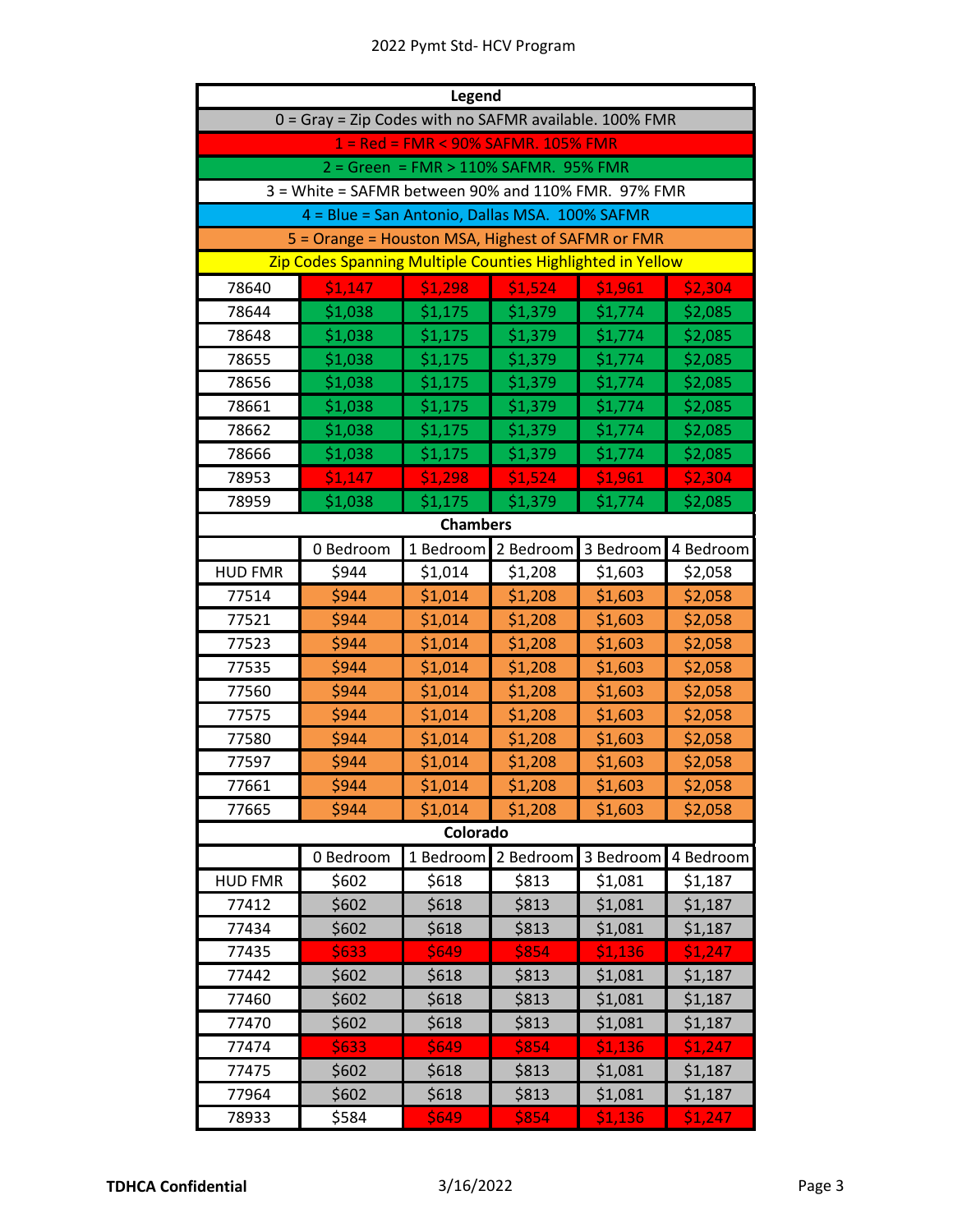| <b>Legend</b>  |                                                            |                                       |           |           |           |  |  |  |
|----------------|------------------------------------------------------------|---------------------------------------|-----------|-----------|-----------|--|--|--|
|                | 0 = Gray = Zip Codes with no SAFMR available. 100% FMR     |                                       |           |           |           |  |  |  |
|                |                                                            | 1 = Red = FMR < 90% SAFMR. 105% FMR   |           |           |           |  |  |  |
|                |                                                            | 2 = Green = FMR > 110% SAFMR. 95% FMR |           |           |           |  |  |  |
|                | 3 = White = SAFMR between 90% and 110% FMR. 97% FMR        |                                       |           |           |           |  |  |  |
|                | 4 = Blue = San Antonio, Dallas MSA. 100% SAFMR             |                                       |           |           |           |  |  |  |
|                | 5 = Orange = Houston MSA, Highest of SAFMR or FMR          |                                       |           |           |           |  |  |  |
|                | Zip Codes Spanning Multiple Counties Highlighted in Yellow |                                       |           |           |           |  |  |  |
| 78640          | \$1,147                                                    | \$1,298                               | \$1,524   | \$1,961   | \$2,304   |  |  |  |
| 78644          | \$1,038                                                    | \$1,175                               | \$1,379   | \$1,774   | \$2,085   |  |  |  |
| 78648          | \$1,038                                                    | \$1,175                               | \$1,379   | \$1,774   | \$2,085   |  |  |  |
| 78655          | \$1,038                                                    | \$1,175                               | \$1,379   | \$1,774   | \$2,085   |  |  |  |
| 78656          | \$1,038                                                    | \$1,175                               | \$1,379   | \$1,774   | \$2,085   |  |  |  |
| 78661          | \$1,038                                                    | \$1,175                               | \$1,379   | \$1,774   | \$2,085   |  |  |  |
| 78662          | \$1,038                                                    | \$1,175                               | \$1,379   | \$1,774   | \$2,085   |  |  |  |
| 78666          | \$1,038                                                    | \$1,175                               | \$1,379   | \$1,774   | \$2,085   |  |  |  |
| 78953          | \$1,147                                                    | \$1,298                               | \$1,524   | \$1,961   | \$2,304   |  |  |  |
| 78959          | \$1,038                                                    | \$1,175                               | \$1,379   | \$1,774   | \$2,085   |  |  |  |
|                | <b>Chambers</b>                                            |                                       |           |           |           |  |  |  |
|                | 0 Bedroom                                                  | 1 Bedroom                             | 2 Bedroom | 3 Bedroom | 4 Bedroom |  |  |  |
| <b>HUD FMR</b> | \$944                                                      | \$1,014                               | \$1,208   | \$1,603   | \$2,058   |  |  |  |
| 77514          | \$944                                                      | \$1,014                               | \$1,208   | \$1,603   | \$2,058   |  |  |  |
| 77521          | \$944                                                      | \$1,014                               | \$1,208   | \$1,603   | \$2,058   |  |  |  |
| 77523          | \$944                                                      | \$1,014                               | \$1,208   | \$1,603   | \$2,058   |  |  |  |
| 77535          | \$944                                                      | \$1,014                               | \$1,208   | \$1,603   | \$2,058   |  |  |  |
| 77560          | \$944                                                      | \$1,014                               | \$1,208   | \$1,603   | \$2,058   |  |  |  |
| 77575          | \$944                                                      | \$1,014                               | \$1,208   | \$1,603   | \$2,058   |  |  |  |
| 77580          | \$944                                                      | \$1,014                               | \$1,208   | \$1,603   | \$2,058   |  |  |  |
| 77597          | \$944                                                      | \$1,014                               | \$1,208   | \$1,603   | \$2,058   |  |  |  |
| 77661          | S944                                                       | \$1,014                               | \$1,208   | \$1,603   | \$2,058   |  |  |  |
| 77665          | \$944                                                      | \$1,014                               | \$1,208   | \$1,603   | \$2,058   |  |  |  |
|                |                                                            | Colorado                              |           |           |           |  |  |  |
|                | 0 Bedroom                                                  | 1 Bedroom                             | 2 Bedroom | 3 Bedroom | 4 Bedroom |  |  |  |
| <b>HUD FMR</b> | \$602                                                      | \$618                                 | \$813     | \$1,081   | \$1,187   |  |  |  |
| 77412          | \$602                                                      | \$618                                 | \$813     | \$1,081   | \$1,187   |  |  |  |
| 77434          | \$602                                                      | \$618                                 | \$813     | \$1,081   | \$1,187   |  |  |  |
| 77435          | \$633                                                      | \$649                                 | \$854     | \$1,136   | \$1,247   |  |  |  |
| 77442          | \$602                                                      | \$618                                 | \$813     | \$1,081   | \$1,187   |  |  |  |
| 77460          | \$602                                                      | \$618                                 | \$813     | \$1,081   | \$1,187   |  |  |  |
| 77470          | \$602                                                      | \$618                                 | \$813     | \$1,081   | \$1,187   |  |  |  |
| 77474          | \$633                                                      | \$649                                 | 5854      | \$1,136   | \$1,247   |  |  |  |
| 77475          | \$602                                                      | \$618                                 | \$813     | \$1,081   | \$1,187   |  |  |  |
| 77964          | \$602                                                      | \$618                                 | \$813     | \$1,081   | \$1,187   |  |  |  |
| 78933          | \$584                                                      | \$649                                 | \$854     | \$1,136   | \$1,247   |  |  |  |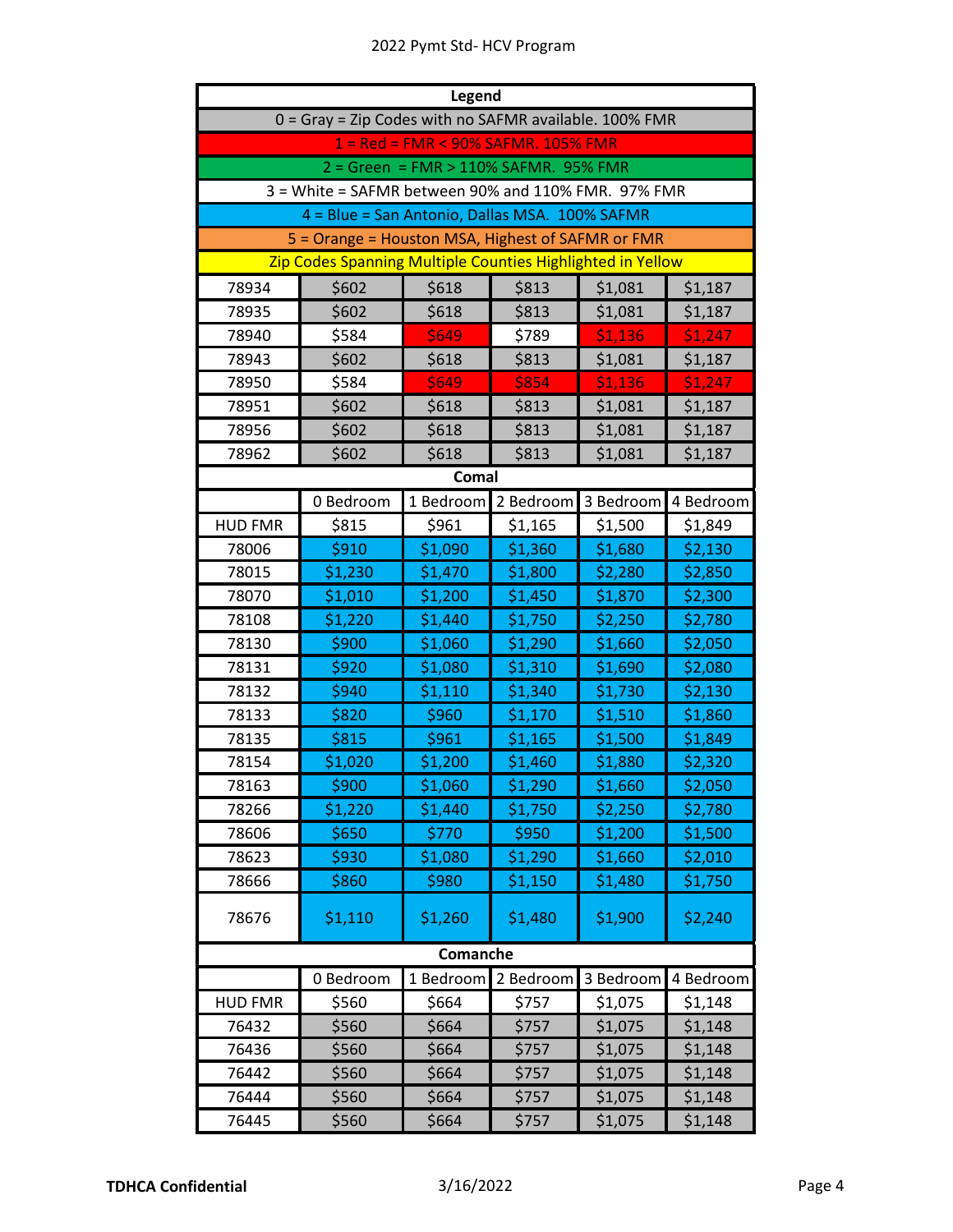|                | <b>Legend</b>                                              |                                       |           |           |           |  |
|----------------|------------------------------------------------------------|---------------------------------------|-----------|-----------|-----------|--|
|                | 0 = Gray = Zip Codes with no SAFMR available. 100% FMR     |                                       |           |           |           |  |
|                |                                                            | 1 = Red = FMR < 90% SAFMR. 105% FMR   |           |           |           |  |
|                |                                                            | 2 = Green = FMR > 110% SAFMR. 95% FMR |           |           |           |  |
|                | 3 = White = SAFMR between 90% and 110% FMR. 97% FMR        |                                       |           |           |           |  |
|                | 4 = Blue = San Antonio, Dallas MSA. 100% SAFMR             |                                       |           |           |           |  |
|                | 5 = Orange = Houston MSA, Highest of SAFMR or FMR          |                                       |           |           |           |  |
|                | Zip Codes Spanning Multiple Counties Highlighted in Yellow |                                       |           |           |           |  |
| 78934          | \$602                                                      | \$618                                 | \$813     | \$1,081   | \$1,187   |  |
| 78935          | \$602                                                      | \$618                                 | \$813     | \$1,081   | \$1,187   |  |
| 78940          | \$584                                                      | \$649                                 | \$789     | \$1,136   | \$1,247   |  |
| 78943          | \$602                                                      | \$618                                 | \$813     | \$1,081   | \$1,187   |  |
| 78950          | \$584                                                      | \$649                                 | \$854     | \$1,136   | \$1,247   |  |
| 78951          | \$602                                                      | \$618                                 | \$813     | \$1,081   | \$1,187   |  |
| 78956          | \$602                                                      | \$618                                 | \$813     | \$1,081   | \$1,187   |  |
| 78962          | \$602                                                      | \$618                                 | \$813     | \$1,081   | \$1,187   |  |
|                |                                                            | <b>Comal</b>                          |           |           |           |  |
|                | 0 Bedroom                                                  | 1 Bedroom                             | 2 Bedroom | 3 Bedroom | 4 Bedroom |  |
| <b>HUD FMR</b> | \$815                                                      | \$961                                 | \$1,165   | \$1,500   | \$1,849   |  |
| 78006          | \$910                                                      | \$1,090                               | \$1,360   | \$1,680   | \$2,130   |  |
| 78015          | \$1,230                                                    | \$1,470                               | \$1,800   | \$2,280   | \$2,850   |  |
| 78070          | \$1,010                                                    | \$1,200                               | \$1,450   | \$1,870   | \$2,300   |  |
| 78108          | \$1,220                                                    | \$1,440                               | \$1,750   | \$2,250   | \$2,780   |  |
| 78130          | \$900                                                      | \$1,060                               | \$1,290   | \$1,660   | \$2,050   |  |
| 78131          | \$920                                                      | \$1,080                               | \$1,310   | \$1,690   | \$2,080   |  |
| 78132          | \$940                                                      | \$1,110                               | \$1,340   | \$1,730   | \$2,130   |  |
| 78133          | \$820                                                      | \$960                                 | \$1,170   | \$1,510   | \$1,860   |  |
| 78135          | \$815                                                      | \$961                                 | \$1,165   | \$1,500   | \$1,849   |  |
| 78154          | \$1,020                                                    | \$1,200                               | \$1,460   | \$1,880   | \$2,320   |  |
| 78163          | \$900                                                      | \$1,060                               | \$1,290   | \$1,660   | \$2,050   |  |
| 78266          | \$1,220                                                    | \$1,440                               | \$1,750   | \$2,250   | \$2,780   |  |
| 78606          | \$650                                                      | \$770                                 | \$950     | \$1,200   | \$1,500   |  |
| 78623          | \$930                                                      | \$1,080                               | \$1,290   | \$1,660   | \$2,010   |  |
| 78666          | \$860                                                      | \$980                                 | \$1,150   | \$1,480   | \$1,750   |  |
| 78676          | \$1,110                                                    | \$1,260                               | \$1,480   | \$1,900   | \$2,240   |  |
|                |                                                            | Comanche                              |           |           |           |  |
|                | 0 Bedroom                                                  | 1 Bedroom                             | 2 Bedroom | 3 Bedroom | 4 Bedroom |  |
| <b>HUD FMR</b> | \$560                                                      | \$664                                 | \$757     | \$1,075   | \$1,148   |  |
| 76432          | \$560                                                      | \$664                                 | \$757     | \$1,075   | \$1,148   |  |
| 76436          | \$560                                                      | \$664                                 | \$757     | \$1,075   | \$1,148   |  |
| 76442          | \$560                                                      | \$664                                 | \$757     | \$1,075   | \$1,148   |  |
| 76444          | \$560                                                      | \$664                                 | \$757     | \$1,075   | \$1,148   |  |
| 76445          | \$560                                                      | \$664                                 | \$757     | \$1,075   | \$1,148   |  |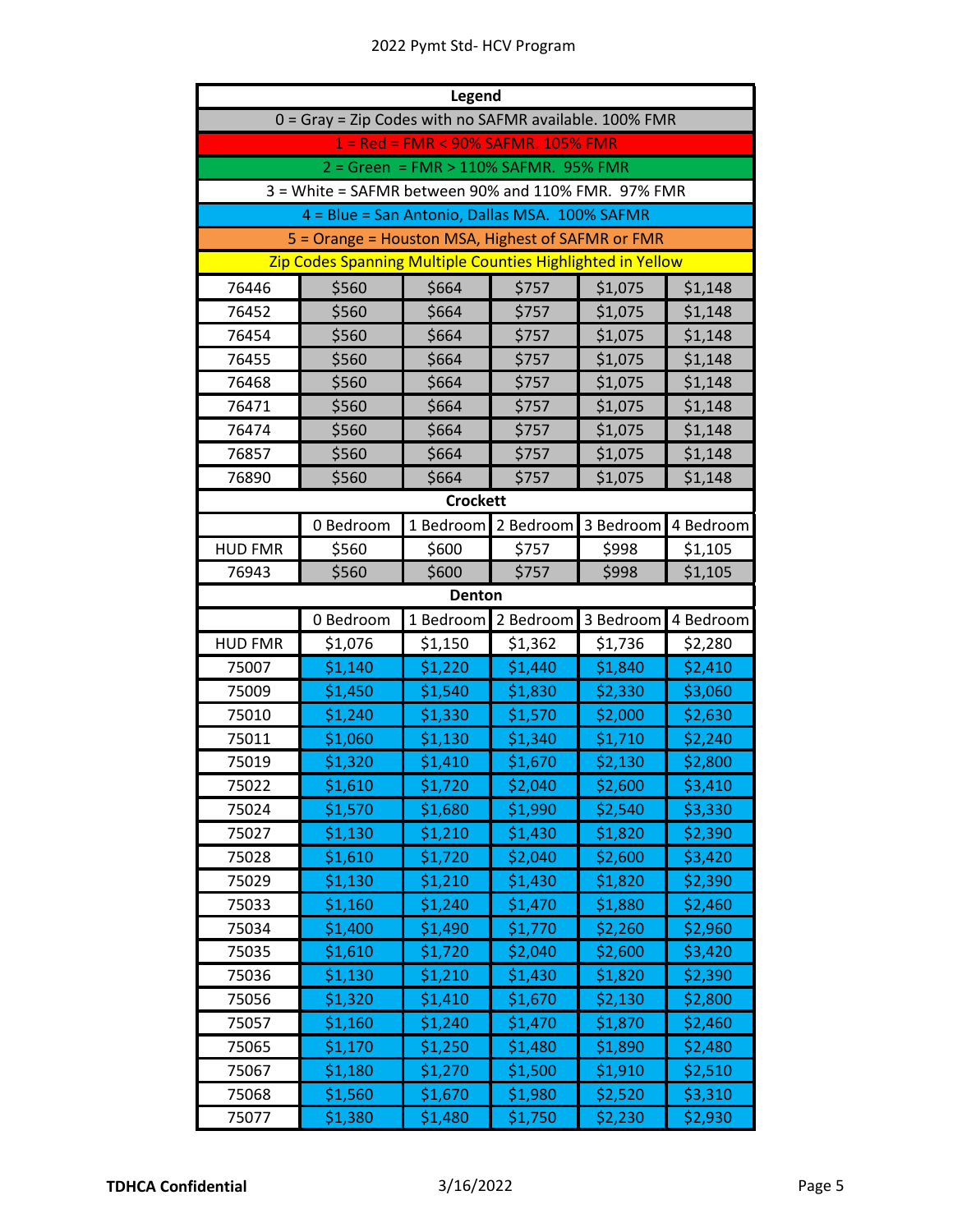|                | <b>Legend</b>                                              |                                       |           |           |           |  |
|----------------|------------------------------------------------------------|---------------------------------------|-----------|-----------|-----------|--|
|                | 0 = Gray = Zip Codes with no SAFMR available. 100% FMR     |                                       |           |           |           |  |
|                |                                                            | 1 = Red = FMR < 90% SAFMR. 105% FMR   |           |           |           |  |
|                |                                                            | 2 = Green = FMR > 110% SAFMR. 95% FMR |           |           |           |  |
|                | 3 = White = SAFMR between 90% and 110% FMR. 97% FMR        |                                       |           |           |           |  |
|                | 4 = Blue = San Antonio, Dallas MSA. 100% SAFMR             |                                       |           |           |           |  |
|                | 5 = Orange = Houston MSA, Highest of SAFMR or FMR          |                                       |           |           |           |  |
|                | Zip Codes Spanning Multiple Counties Highlighted in Yellow |                                       |           |           |           |  |
| 76446          | \$560                                                      | \$664                                 | \$757     | \$1,075   | \$1,148   |  |
| 76452          | \$560                                                      | \$664                                 | \$757     | \$1,075   | \$1,148   |  |
| 76454          | \$560                                                      | \$664                                 | \$757     | \$1,075   | \$1,148   |  |
| 76455          | \$560                                                      | \$664                                 | \$757     | \$1,075   | \$1,148   |  |
| 76468          | \$560                                                      | \$664                                 | \$757     | \$1,075   | \$1,148   |  |
| 76471          | \$560                                                      | \$664                                 | \$757     | \$1,075   | \$1,148   |  |
| 76474          | \$560                                                      | \$664                                 | \$757     | \$1,075   | \$1,148   |  |
| 76857          | \$560                                                      | \$664                                 | \$757     | \$1,075   | \$1,148   |  |
| 76890          | \$560                                                      | \$664                                 | \$757     | \$1,075   | \$1,148   |  |
|                |                                                            | <b>Crockett</b>                       |           |           |           |  |
|                | 0 Bedroom                                                  | 1 Bedroom                             | 2 Bedroom | 3 Bedroom | 4 Bedroom |  |
| <b>HUD FMR</b> | \$560                                                      | \$600                                 | \$757     | \$998     | \$1,105   |  |
| 76943          | \$560                                                      | \$600                                 | \$757     | \$998     | \$1,105   |  |
|                |                                                            | Denton                                |           |           |           |  |
|                |                                                            |                                       |           |           |           |  |
|                | 0 Bedroom                                                  | 1 Bedroom                             | 2 Bedroom | 3 Bedroom | 4 Bedroom |  |
| <b>HUD FMR</b> | \$1,076                                                    | \$1,150                               | \$1,362   | \$1,736   | \$2,280   |  |
| 75007          | \$1,140                                                    | \$1,220                               | \$1,440   | \$1,840   | \$2,410   |  |
| 75009          | \$1,450                                                    | \$1,540                               | \$1,830   | \$2,330   | \$3,060   |  |
| 75010          | \$1,240                                                    | \$1,330                               | \$1,570   | \$2,000   | \$2,630   |  |
| 75011          | \$1,060                                                    | \$1,130                               | \$1,340   | \$1,710   | \$2,240   |  |
| 75019          | \$1,320                                                    | \$1,410                               | \$1,670   | \$2,130   | \$2,800   |  |
| 75022          | \$1,610                                                    | \$1,720                               | \$2,040   | \$2,600   | \$3,410   |  |
| 75024          | \$1,570                                                    | \$1,680                               | \$1,990   | \$2,540   | \$3,330   |  |
| 75027          | \$1,130                                                    | \$1,210                               | \$1,430   | \$1,820   | \$2,390   |  |
| 75028          | \$1,610                                                    | \$1,720                               | \$2,040   | \$2,600   | \$3,420   |  |
| 75029          | \$1,130                                                    | \$1,210                               | \$1,430   | \$1,820   | \$2,390   |  |
| 75033          | \$1,160                                                    | \$1,240                               | \$1,470   | \$1,880   | \$2,460   |  |
| 75034          | \$1,400                                                    | \$1,490                               | \$1,770   | \$2,260   | \$2,960   |  |
| 75035          | \$1,610                                                    | \$1,720                               | \$2,040   | \$2,600   | \$3,420   |  |
| 75036          | \$1,130                                                    | \$1,210                               | \$1,430   | \$1,820   | \$2,390   |  |
| 75056          | \$1,320                                                    | \$1,410                               | \$1,670   | \$2,130   | \$2,800   |  |
| 75057          | \$1,160                                                    | \$1,240                               | \$1,470   | \$1,870   | \$2,460   |  |
| 75065          | \$1,170                                                    | \$1,250                               | \$1,480   | \$1,890   | \$2,480   |  |
| 75067          | \$1,180                                                    | \$1,270                               | \$1,500   | \$1,910   | \$2,510   |  |
| 75068          | \$1,560                                                    | \$1,670                               | \$1,980   | \$2,520   | \$3,310   |  |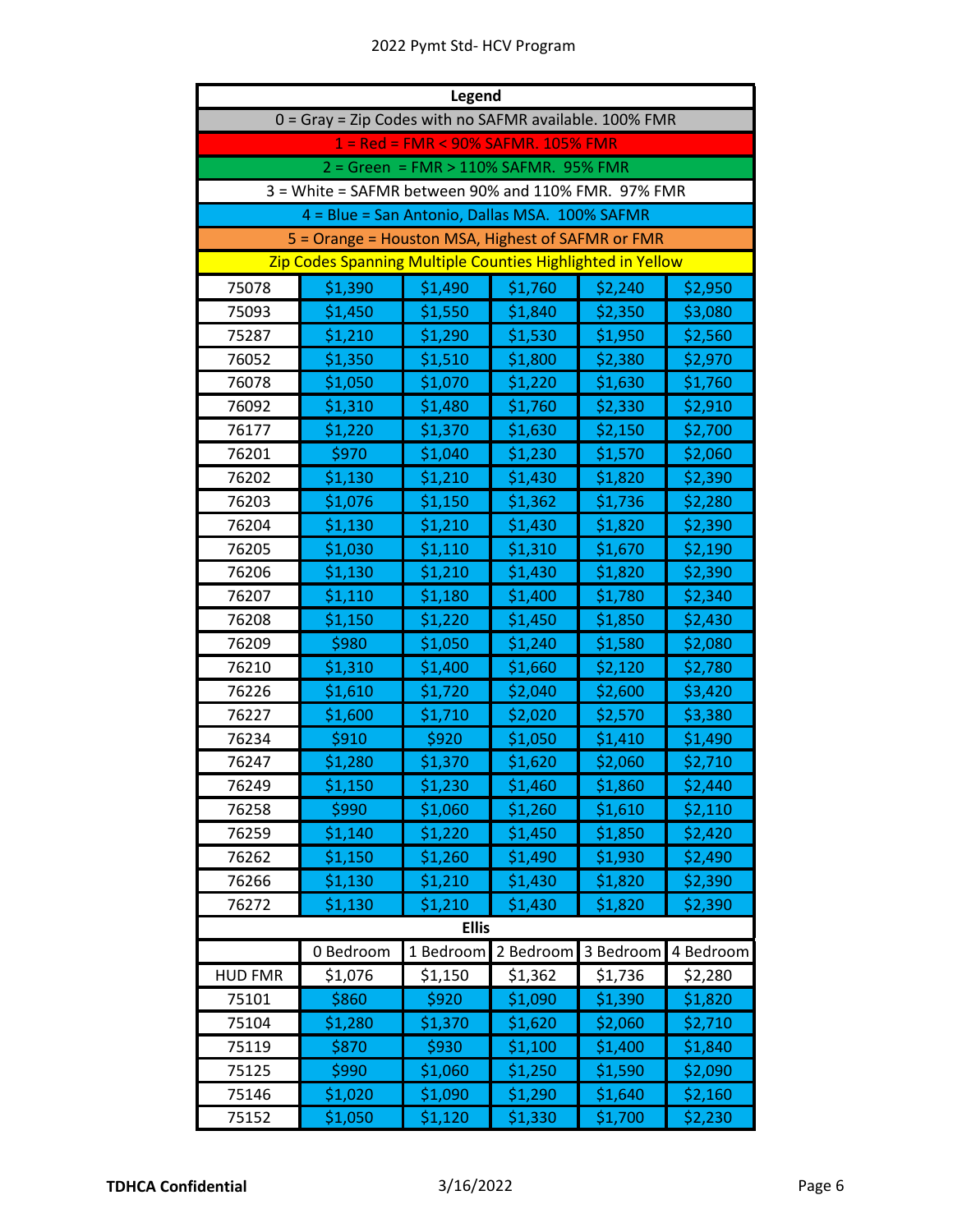| Legend         |                                                            |                                       |           |           |           |  |  |
|----------------|------------------------------------------------------------|---------------------------------------|-----------|-----------|-----------|--|--|
|                | 0 = Gray = Zip Codes with no SAFMR available. 100% FMR     |                                       |           |           |           |  |  |
|                |                                                            | 1 = Red = FMR < 90% SAFMR. 105% FMR   |           |           |           |  |  |
|                |                                                            | 2 = Green = FMR > 110% SAFMR. 95% FMR |           |           |           |  |  |
|                | 3 = White = SAFMR between 90% and 110% FMR. 97% FMR        |                                       |           |           |           |  |  |
|                | 4 = Blue = San Antonio, Dallas MSA. 100% SAFMR             |                                       |           |           |           |  |  |
|                | 5 = Orange = Houston MSA, Highest of SAFMR or FMR          |                                       |           |           |           |  |  |
|                | Zip Codes Spanning Multiple Counties Highlighted in Yellow |                                       |           |           |           |  |  |
| 75078          | \$1,390                                                    | \$1,490                               | \$1,760   | \$2,240   | \$2,950   |  |  |
| 75093          | \$1,450                                                    | \$1,550                               | \$1,840   | \$2,350   | \$3,080   |  |  |
| 75287          | \$1,210                                                    | \$1,290                               | \$1,530   | \$1,950   | \$2,560   |  |  |
| 76052          | \$1,350                                                    | \$1,510                               | \$1,800   | \$2,380   | \$2,970   |  |  |
| 76078          | \$1,050                                                    | \$1,070                               | \$1,220   | \$1,630   | \$1,760   |  |  |
| 76092          | \$1,310                                                    | \$1,480                               | \$1,760   | \$2,330   | \$2,910   |  |  |
| 76177          | \$1,220                                                    | \$1,370                               | \$1,630   | \$2,150   | \$2,700   |  |  |
| 76201          | \$970                                                      | \$1,040                               | \$1,230   | \$1,570   | \$2,060   |  |  |
| 76202          | \$1,130                                                    | \$1,210                               | \$1,430   | \$1,820   | \$2,390   |  |  |
| 76203          | \$1,076                                                    | \$1,150                               | \$1,362   | \$1,736   | \$2,280   |  |  |
| 76204          | \$1,130                                                    | \$1,210                               | \$1,430   | \$1,820   | \$2,390   |  |  |
| 76205          | \$1,030                                                    | \$1,110                               | \$1,310   | \$1,670   | \$2,190   |  |  |
| 76206          | \$1,130                                                    | \$1,210                               | \$1,430   | \$1,820   | \$2,390   |  |  |
| 76207          | \$1,110                                                    | \$1,180                               | \$1,400   | \$1,780   | \$2,340   |  |  |
| 76208          | \$1,150                                                    | \$1,220                               | \$1,450   | \$1,850   | \$2,430   |  |  |
| 76209          | \$980                                                      | \$1,050                               | \$1,240   | \$1,580   | \$2,080   |  |  |
| 76210          | \$1,310                                                    | \$1,400                               | \$1,660   | \$2,120   | \$2,780   |  |  |
| 76226          | \$1,610                                                    | \$1,720                               | \$2,040   | \$2,600   | \$3,420   |  |  |
| 76227          | \$1,600                                                    | \$1,710                               | \$2,020   | \$2,570   | \$3,380   |  |  |
| 76234          | \$910                                                      | \$920                                 | \$1,050   | \$1,410   | \$1,490   |  |  |
| 76247          | \$1,280                                                    | \$1,370                               | \$1,620   | \$2,060   | \$2,710   |  |  |
| 76249          | \$1,150                                                    | \$1,230                               | \$1,460   | \$1,860   | \$2,440   |  |  |
| 76258          | \$990                                                      | \$1,060                               | \$1,260   | \$1,610   | \$2,110   |  |  |
| 76259          | \$1,140                                                    | \$1,220                               | \$1,450   | \$1,850   | \$2,420   |  |  |
| 76262          | \$1,150                                                    | \$1,260                               | \$1,490   | \$1,930   | \$2,490   |  |  |
| 76266          | \$1,130                                                    | \$1,210                               | \$1,430   | \$1,820   | \$2,390   |  |  |
| 76272          | \$1,130                                                    | \$1,210                               | \$1,430   | \$1,820   | \$2,390   |  |  |
| <b>Ellis</b>   |                                                            |                                       |           |           |           |  |  |
|                | 0 Bedroom                                                  | 1 Bedroom                             | 2 Bedroom | 3 Bedroom | 4 Bedroom |  |  |
| <b>HUD FMR</b> | \$1,076                                                    | \$1,150                               | \$1,362   | \$1,736   | \$2,280   |  |  |
| 75101          | \$860                                                      | \$920                                 | \$1,090   | \$1,390   | \$1,820   |  |  |
| 75104          | \$1,280                                                    | \$1,370                               | \$1,620   | \$2,060   | \$2,710   |  |  |
| 75119          | \$870                                                      | \$930                                 | \$1,100   | \$1,400   | \$1,840   |  |  |
| 75125          | \$990                                                      | \$1,060                               | \$1,250   | \$1,590   | \$2,090   |  |  |
| 75146          | \$1,020                                                    | \$1,090                               | \$1,290   | \$1,640   | \$2,160   |  |  |
| 75152          | \$1,050                                                    | \$1,120                               | \$1,330   | \$1,700   | \$2,230   |  |  |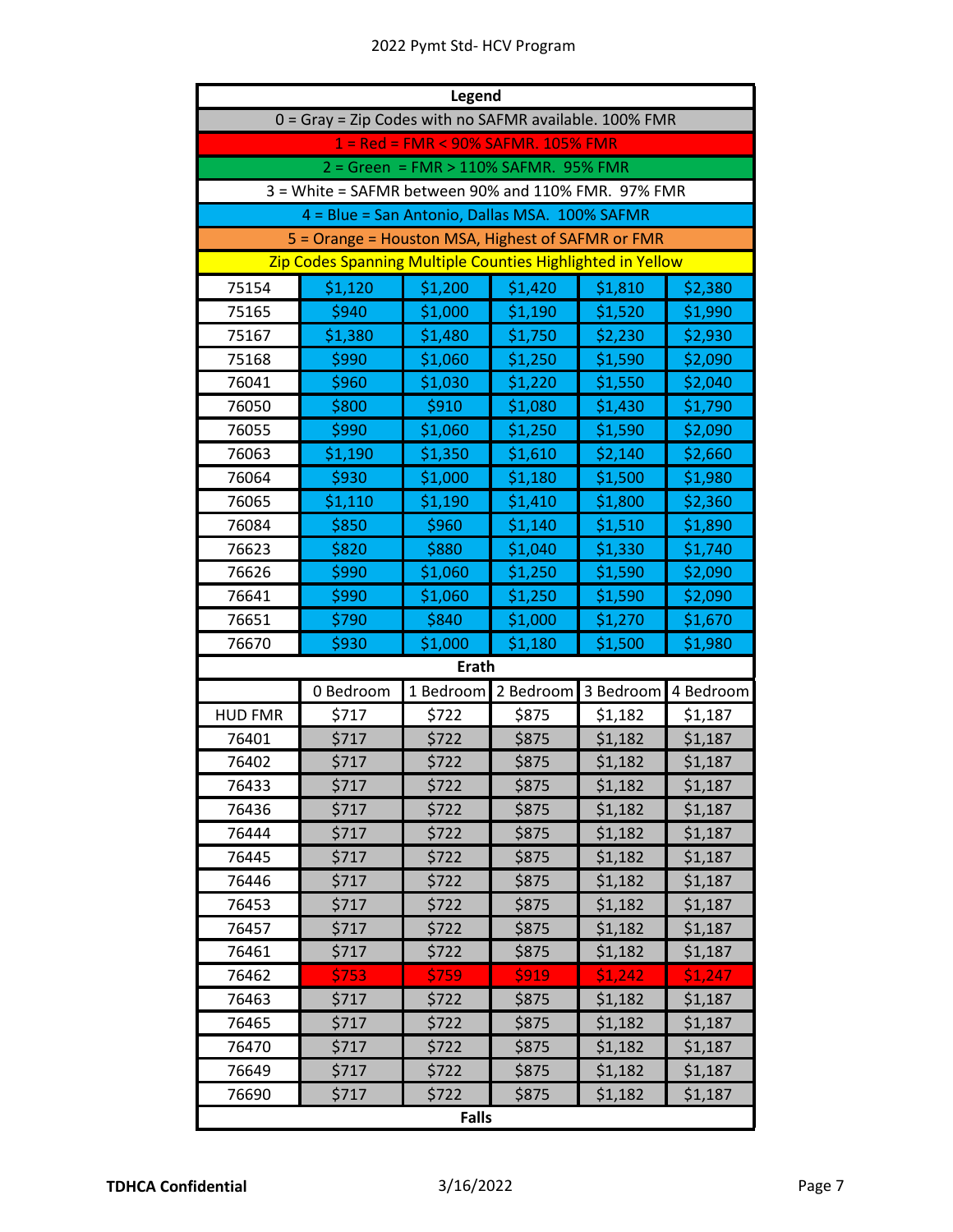|                | Legend                                                     |                                       |           |           |           |  |  |
|----------------|------------------------------------------------------------|---------------------------------------|-----------|-----------|-----------|--|--|
|                | 0 = Gray = Zip Codes with no SAFMR available. 100% FMR     |                                       |           |           |           |  |  |
|                |                                                            | 1 = Red = FMR < 90% SAFMR. 105% FMR   |           |           |           |  |  |
|                |                                                            | 2 = Green = FMR > 110% SAFMR. 95% FMR |           |           |           |  |  |
|                | 3 = White = SAFMR between 90% and 110% FMR. 97% FMR        |                                       |           |           |           |  |  |
|                | 4 = Blue = San Antonio, Dallas MSA. 100% SAFMR             |                                       |           |           |           |  |  |
|                | 5 = Orange = Houston MSA, Highest of SAFMR or FMR          |                                       |           |           |           |  |  |
|                | Zip Codes Spanning Multiple Counties Highlighted in Yellow |                                       |           |           |           |  |  |
| 75154          | \$1,120                                                    | \$1,200                               | \$1,420   | \$1,810   | \$2,380   |  |  |
| 75165          | \$940                                                      | \$1,000                               | \$1,190   | \$1,520   | \$1,990   |  |  |
| 75167          | \$1,380                                                    | \$1,480                               | \$1,750   | \$2,230   | \$2,930   |  |  |
| 75168          | \$990                                                      | \$1,060                               | \$1,250   | \$1,590   | \$2,090   |  |  |
| 76041          | \$960                                                      | \$1,030                               | \$1,220   | \$1,550   | \$2,040   |  |  |
| 76050          | \$800                                                      | \$910                                 | \$1,080   | \$1,430   | \$1,790   |  |  |
| 76055          | \$990                                                      | \$1,060                               | \$1,250   | \$1,590   | \$2,090   |  |  |
| 76063          | \$1,190                                                    | \$1,350                               | \$1,610   | \$2,140   | \$2,660   |  |  |
| 76064          | \$930                                                      | \$1,000                               | \$1,180   | \$1,500   | \$1,980   |  |  |
| 76065          | \$1,110                                                    | \$1,190                               | \$1,410   | \$1,800   | \$2,360   |  |  |
| 76084          | \$850                                                      | \$960                                 | \$1,140   | \$1,510   | \$1,890   |  |  |
| 76623          | \$820                                                      | \$880                                 | \$1,040   | \$1,330   | \$1,740   |  |  |
| 76626          | \$990                                                      | \$1,060                               | \$1,250   | \$1,590   | \$2,090   |  |  |
| 76641          | \$990                                                      | \$1,060                               | \$1,250   | \$1,590   | \$2,090   |  |  |
| 76651          | \$790                                                      | \$840                                 | \$1,000   | \$1,270   | \$1,670   |  |  |
| 76670          | \$930                                                      | \$1,000                               | \$1,180   | \$1,500   | \$1,980   |  |  |
|                |                                                            | <b>Erath</b>                          |           |           |           |  |  |
|                | 0 Bedroom                                                  | 1 Bedroom                             | 2 Bedroom | 3 Bedroom | 4 Bedroom |  |  |
| <b>HUD FMR</b> | \$717                                                      | \$722                                 | \$875     | \$1,182   | \$1,187   |  |  |
| 76401          | \$717                                                      | \$722                                 | \$875     | \$1,182   | \$1,187   |  |  |
| 76402          | \$717                                                      | \$722                                 | \$875     | \$1,182   | \$1,187   |  |  |
| 76433          | \$717                                                      | \$722                                 | \$875     | \$1,182   | \$1,187   |  |  |
| 76436          | \$717                                                      | \$722                                 | \$875     | \$1,182   | \$1,187   |  |  |
| 76444          | \$717                                                      | \$722                                 | \$875     | \$1,182   | \$1,187   |  |  |
| 76445          | \$717                                                      | \$722                                 | \$875     | \$1,182   | \$1,187   |  |  |
| 76446          | \$717                                                      | \$722                                 | \$875     | \$1,182   | \$1,187   |  |  |
| 76453          | \$717                                                      | \$722                                 | \$875     | \$1,182   | \$1,187   |  |  |
| 76457          | \$717                                                      | \$722                                 | \$875     | \$1,182   | \$1,187   |  |  |
| 76461          | \$717                                                      | \$722                                 | \$875     | \$1,182   | \$1,187   |  |  |
| 76462          | \$753                                                      | \$759                                 | \$919     | \$1,242   | \$1,247   |  |  |
| 76463          | \$717                                                      | \$722                                 | \$875     | \$1,182   | \$1,187   |  |  |
| 76465          | \$717                                                      | \$722                                 | \$875     | \$1,182   | \$1,187   |  |  |
| 76470          | \$717                                                      | \$722                                 | \$875     | \$1,182   | \$1,187   |  |  |
| 76649          | \$717                                                      | \$722                                 | \$875     | \$1,182   | \$1,187   |  |  |
| 76690          | \$717                                                      | \$722                                 | \$875     | \$1,182   | \$1,187   |  |  |
|                |                                                            | <b>Falls</b>                          |           |           |           |  |  |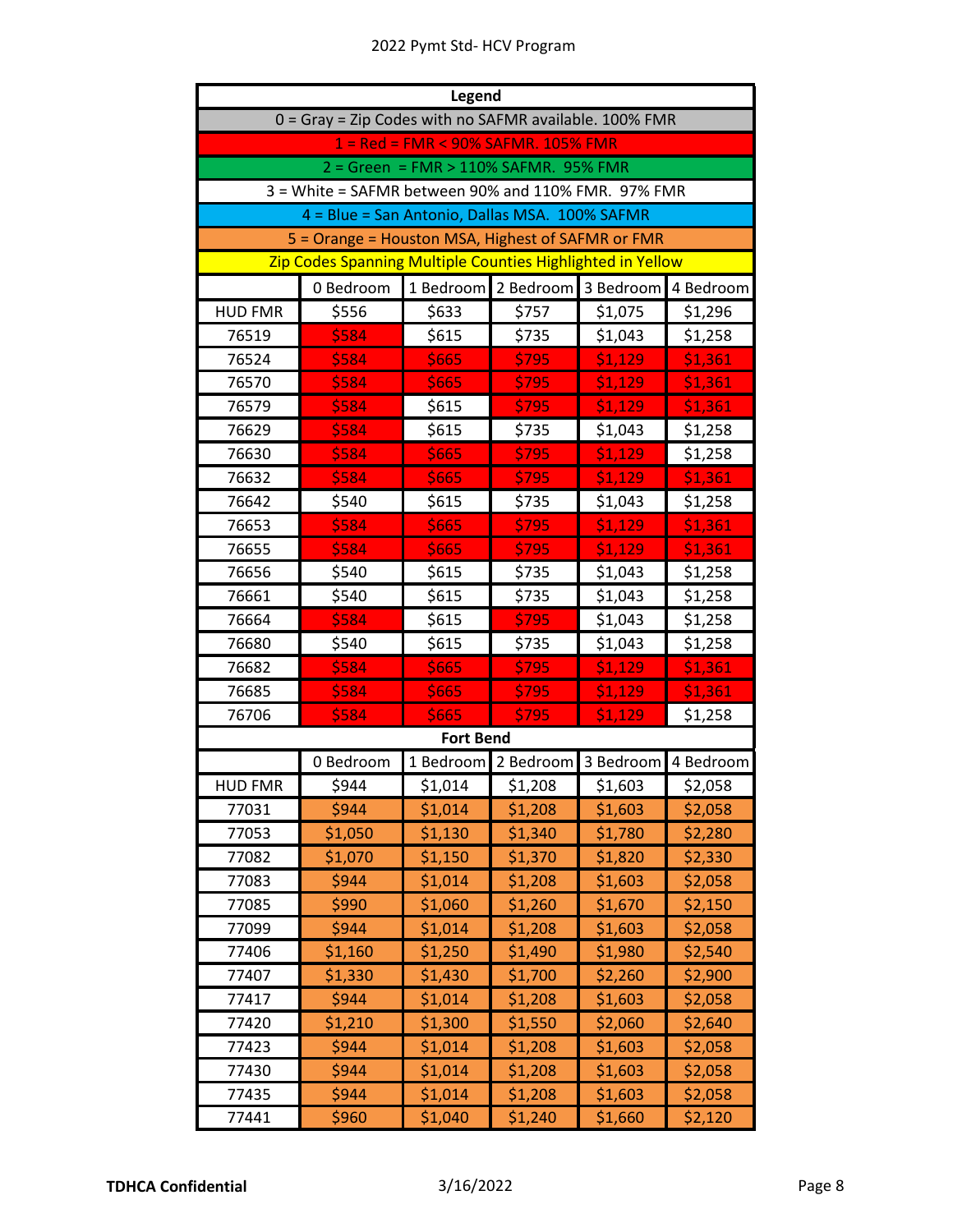|                | Legend                                                     |                                       |           |           |           |  |  |
|----------------|------------------------------------------------------------|---------------------------------------|-----------|-----------|-----------|--|--|
|                | 0 = Gray = Zip Codes with no SAFMR available. 100% FMR     |                                       |           |           |           |  |  |
|                |                                                            | 1 = Red = FMR < 90% SAFMR. 105% FMR   |           |           |           |  |  |
|                |                                                            | 2 = Green = FMR > 110% SAFMR. 95% FMR |           |           |           |  |  |
|                | 3 = White = SAFMR between 90% and 110% FMR. 97% FMR        |                                       |           |           |           |  |  |
|                | 4 = Blue = San Antonio, Dallas MSA. 100% SAFMR             |                                       |           |           |           |  |  |
|                | 5 = Orange = Houston MSA, Highest of SAFMR or FMR          |                                       |           |           |           |  |  |
|                | Zip Codes Spanning Multiple Counties Highlighted in Yellow |                                       |           |           |           |  |  |
|                | 0 Bedroom                                                  | 1 Bedroom                             | 2 Bedroom | 3 Bedroom | 4 Bedroom |  |  |
| <b>HUD FMR</b> | \$556                                                      | \$633                                 | \$757     | \$1,075   | \$1,296   |  |  |
| 76519          | \$584                                                      | \$615                                 | \$735     | \$1,043   | \$1,258   |  |  |
| 76524          | \$584                                                      | \$665                                 | \$795     | \$1,129   | \$1,361   |  |  |
| 76570          | \$584                                                      | \$665                                 | \$795     | \$1,129   | \$1,361   |  |  |
| 76579          | \$584                                                      | \$615                                 | \$795     | \$1,129   | \$1,361   |  |  |
| 76629          | \$584                                                      | \$615                                 | \$735     | \$1,043   | \$1,258   |  |  |
| 76630          | \$584                                                      | \$665                                 | \$795     | \$1,129   | \$1,258   |  |  |
| 76632          | <b>S584</b>                                                | \$665                                 | \$795     | \$1,129   | \$1,361   |  |  |
| 76642          | \$540                                                      | \$615                                 | \$735     | \$1,043   | \$1,258   |  |  |
| 76653          | \$584                                                      | \$665                                 | \$795     | \$1,129   | \$1,361   |  |  |
| 76655          | \$584                                                      | \$665                                 | \$795     | \$1,129   | \$1,361   |  |  |
| 76656          | \$540                                                      | \$615                                 | \$735     | \$1,043   | \$1,258   |  |  |
| 76661          | \$540                                                      | \$615                                 | \$735     | \$1,043   | \$1,258   |  |  |
| 76664          | \$584                                                      | \$615                                 | \$795     | \$1,043   | \$1,258   |  |  |
| 76680          | \$540                                                      | \$615                                 | \$735     | \$1,043   | \$1,258   |  |  |
| 76682          | \$584                                                      | \$665                                 | \$795     | \$1,129   | \$1,361   |  |  |
| 76685          | \$584                                                      | <b>S665</b>                           | \$795     | \$1,129   | \$1,361   |  |  |
| 76706          | \$584                                                      | \$665                                 | \$795     | \$1,129   | \$1,258   |  |  |
|                |                                                            | <b>Fort Bend</b>                      |           |           |           |  |  |
|                | 0 Bedroom                                                  | 1 Bedroom                             | 2 Bedroom | 3 Bedroom | 4 Bedroom |  |  |
| <b>HUD FMR</b> | \$944                                                      | \$1,014                               | \$1,208   | \$1,603   | \$2,058   |  |  |
| 77031          | \$944                                                      | \$1,014                               | \$1,208   | \$1,603   | \$2,058   |  |  |
| 77053          | \$1,050                                                    | \$1,130                               | \$1,340   | \$1,780   | \$2,280   |  |  |
| 77082          | \$1,070                                                    | \$1,150                               | \$1,370   | \$1,820   | \$2,330   |  |  |
| 77083          | \$944                                                      | \$1,014                               | \$1,208   | \$1,603   | \$2,058   |  |  |
| 77085          | \$990                                                      | \$1,060                               | \$1,260   | \$1,670   | \$2,150   |  |  |
| 77099          | \$944                                                      | \$1,014                               | \$1,208   | \$1,603   | \$2,058   |  |  |
| 77406          | \$1,160                                                    | \$1,250                               | \$1,490   | \$1,980   | \$2,540   |  |  |
| 77407          | \$1,330                                                    | \$1,430                               | \$1,700   | \$2,260   | \$2,900   |  |  |
| 77417          | \$944                                                      | \$1,014                               | \$1,208   | \$1,603   | \$2,058   |  |  |
| 77420          | \$1,210                                                    | \$1,300                               | \$1,550   | \$2,060   | \$2,640   |  |  |
| 77423          | \$944                                                      | \$1,014                               | \$1,208   | \$1,603   | \$2,058   |  |  |
| 77430          | \$944                                                      | \$1,014                               | \$1,208   | \$1,603   | \$2,058   |  |  |
| 77435          | \$944                                                      | \$1,014                               | \$1,208   | \$1,603   | \$2,058   |  |  |
| 77441          | \$960                                                      | \$1,040                               | \$1,240   | \$1,660   | \$2,120   |  |  |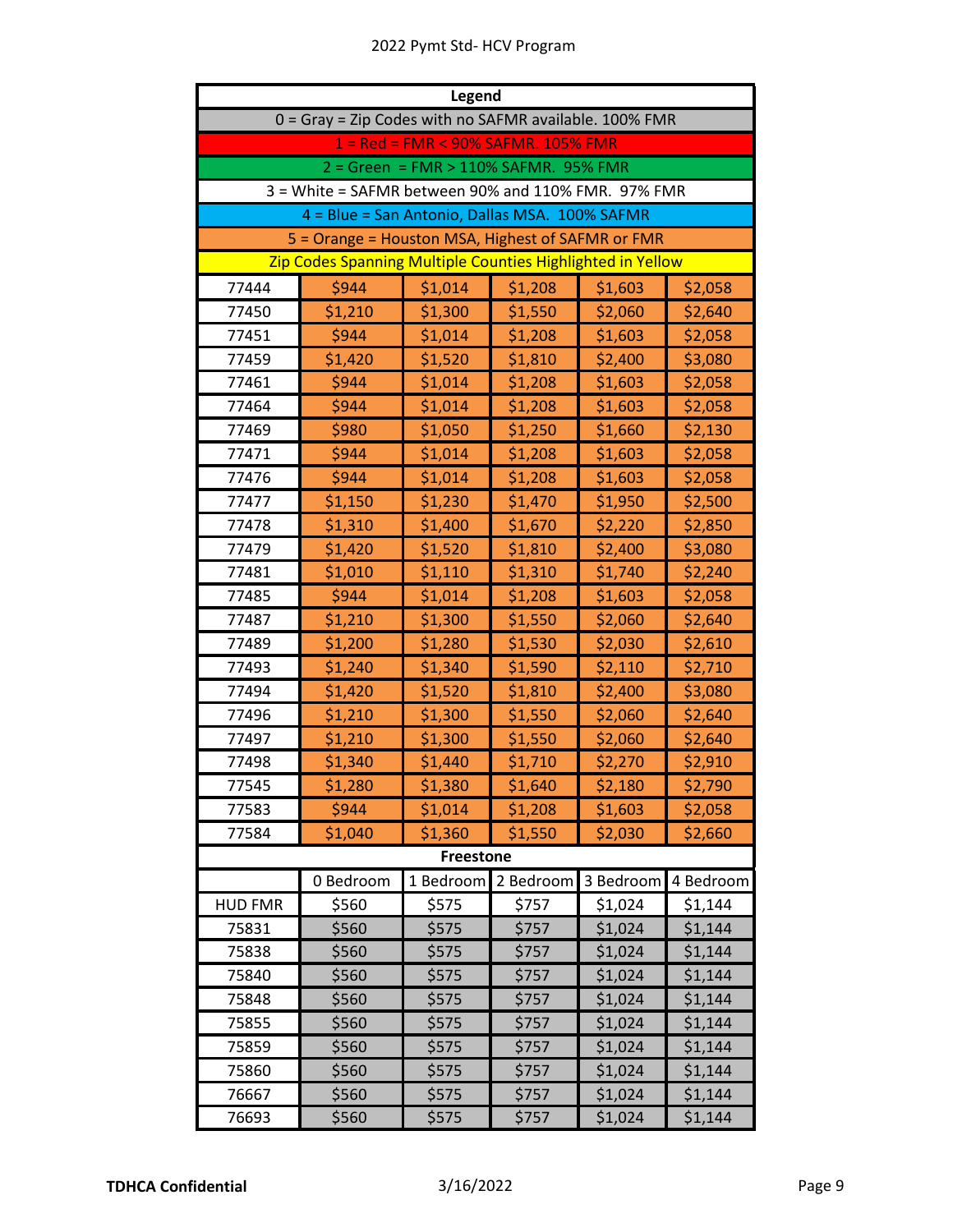| <b>Legend</b>  |                                                            |                                       |           |           |           |  |
|----------------|------------------------------------------------------------|---------------------------------------|-----------|-----------|-----------|--|
|                | 0 = Gray = Zip Codes with no SAFMR available. 100% FMR     |                                       |           |           |           |  |
|                |                                                            | 1 = Red = FMR < 90% SAFMR. 105% FMR   |           |           |           |  |
|                |                                                            | 2 = Green = FMR > 110% SAFMR. 95% FMR |           |           |           |  |
|                | 3 = White = SAFMR between 90% and 110% FMR. 97% FMR        |                                       |           |           |           |  |
|                | 4 = Blue = San Antonio, Dallas MSA. 100% SAFMR             |                                       |           |           |           |  |
|                | 5 = Orange = Houston MSA, Highest of SAFMR or FMR          |                                       |           |           |           |  |
|                | Zip Codes Spanning Multiple Counties Highlighted in Yellow |                                       |           |           |           |  |
| 77444          | \$944                                                      | \$1,014                               | \$1,208   | \$1,603   | \$2,058   |  |
| 77450          | \$1,210                                                    | \$1,300                               | \$1,550   | \$2,060   | \$2,640   |  |
| 77451          | \$944                                                      | \$1,014                               | \$1,208   | \$1,603   | \$2,058   |  |
| 77459          | \$1,420                                                    | \$1,520                               | \$1,810   | \$2,400   | \$3,080   |  |
| 77461          | \$944                                                      | \$1,014                               | \$1,208   | \$1,603   | \$2,058   |  |
| 77464          | \$944                                                      | \$1,014                               | \$1,208   | \$1,603   | \$2,058   |  |
| 77469          | \$980                                                      | \$1,050                               | \$1,250   | \$1,660   | \$2,130   |  |
| 77471          | \$944                                                      | \$1,014                               | \$1,208   | \$1,603   | \$2,058   |  |
| 77476          | \$944                                                      | \$1,014                               | \$1,208   | \$1,603   | \$2,058   |  |
| 77477          | \$1,150                                                    | \$1,230                               | \$1,470   | \$1,950   | \$2,500   |  |
| 77478          | \$1,310                                                    | \$1,400                               | \$1,670   | \$2,220   | \$2,850   |  |
| 77479          | \$1,420                                                    | \$1,520                               | \$1,810   | \$2,400   | \$3,080   |  |
| 77481          | \$1,010                                                    | \$1,110                               | \$1,310   | \$1,740   | \$2,240   |  |
| 77485          | \$944                                                      | \$1,014                               | \$1,208   | \$1,603   | \$2,058   |  |
| 77487          | \$1,210                                                    | \$1,300                               | \$1,550   | \$2,060   | \$2,640   |  |
| 77489          | \$1,200                                                    | \$1,280                               | \$1,530   | \$2,030   | \$2,610   |  |
| 77493          | \$1,240                                                    | \$1,340                               | \$1,590   | \$2,110   | \$2,710   |  |
| 77494          | \$1,420                                                    | \$1,520                               | \$1,810   | \$2,400   | \$3,080   |  |
| 77496          | \$1,210                                                    | \$1,300                               | \$1,550   | \$2,060   | \$2,640   |  |
| 77497          | \$1,210                                                    | \$1,300                               | \$1,550   | \$2,060   | \$2,640   |  |
| 77498          | \$1,340                                                    | \$1,440                               | \$1,710   | \$2,270   | \$2,910   |  |
| 77545          | \$1,280                                                    | \$1,380                               | \$1,640   | \$2,180   | \$2,790   |  |
| 77583          | \$944                                                      | \$1,014                               | \$1,208   | \$1,603   | \$2,058   |  |
| 77584          | \$1,040                                                    | \$1,360                               | \$1,550   | \$2,030   | \$2,660   |  |
|                |                                                            | <b>Freestone</b>                      |           |           |           |  |
|                | 0 Bedroom                                                  | 1 Bedroom                             | 2 Bedroom | 3 Bedroom | 4 Bedroom |  |
| <b>HUD FMR</b> | \$560                                                      | \$575                                 | \$757     | \$1,024   | \$1,144   |  |
| 75831          | \$560                                                      | \$575                                 | \$757     | \$1,024   | \$1,144   |  |
| 75838          | \$560                                                      | \$575                                 | \$757     | \$1,024   | \$1,144   |  |
| 75840          | \$560                                                      | \$575                                 | \$757     | \$1,024   | \$1,144   |  |
| 75848          | \$560                                                      | \$575                                 | \$757     | \$1,024   | \$1,144   |  |
| 75855          | \$560                                                      | \$575                                 | \$757     | \$1,024   | \$1,144   |  |
| 75859          | \$560                                                      | \$575                                 | \$757     | \$1,024   | \$1,144   |  |
| 75860          | \$560                                                      | \$575                                 | \$757     | \$1,024   | \$1,144   |  |
| 76667          | \$560                                                      | \$575                                 | \$757     | \$1,024   | \$1,144   |  |
| 76693          | \$560                                                      | \$575                                 | \$757     | \$1,024   | \$1,144   |  |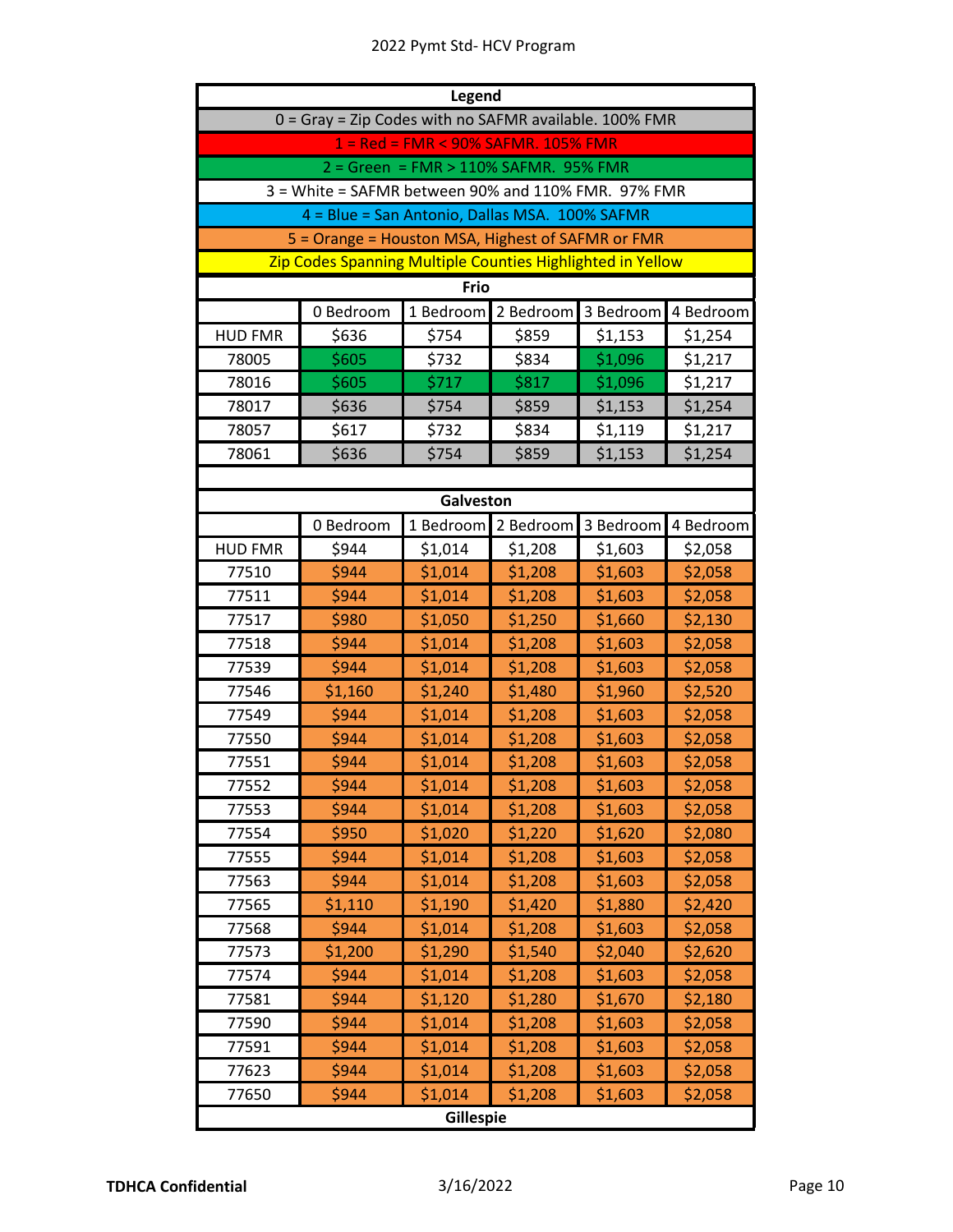|                | Legend                                                     |                                       |           |           |           |  |
|----------------|------------------------------------------------------------|---------------------------------------|-----------|-----------|-----------|--|
|                | 0 = Gray = Zip Codes with no SAFMR available. 100% FMR     |                                       |           |           |           |  |
|                |                                                            | 1 = Red = FMR < 90% SAFMR. 105% FMR   |           |           |           |  |
|                |                                                            | 2 = Green = FMR > 110% SAFMR. 95% FMR |           |           |           |  |
|                | 3 = White = SAFMR between 90% and 110% FMR. 97% FMR        |                                       |           |           |           |  |
|                | 4 = Blue = San Antonio, Dallas MSA. 100% SAFMR             |                                       |           |           |           |  |
|                | 5 = Orange = Houston MSA, Highest of SAFMR or FMR          |                                       |           |           |           |  |
|                | Zip Codes Spanning Multiple Counties Highlighted in Yellow |                                       |           |           |           |  |
|                |                                                            | Frio                                  |           |           |           |  |
|                | 0 Bedroom                                                  | 1 Bedroom                             | 2 Bedroom | 3 Bedroom | 4 Bedroom |  |
| <b>HUD FMR</b> | \$636                                                      | \$754                                 | \$859     | \$1,153   | \$1,254   |  |
| 78005          | \$605                                                      | \$732                                 | \$834     | \$1,096   | \$1,217   |  |
| 78016          | \$605                                                      | \$717                                 | \$817     | \$1,096   | \$1,217   |  |
| 78017          | \$636                                                      | \$754                                 | \$859     | \$1,153   | \$1,254   |  |
| 78057          | \$617                                                      | \$732                                 | \$834     | \$1,119   | \$1,217   |  |
| 78061          | \$636                                                      | \$754                                 | \$859     | \$1,153   | \$1,254   |  |
|                |                                                            |                                       |           |           |           |  |
|                |                                                            | Galveston                             |           |           |           |  |
|                | 0 Bedroom                                                  | 1 Bedroom                             | 2 Bedroom | 3 Bedroom | 4 Bedroom |  |
| <b>HUD FMR</b> | \$944                                                      | \$1,014                               | \$1,208   | \$1,603   | \$2,058   |  |
| 77510          | \$944                                                      | \$1,014                               | \$1,208   | \$1,603   | \$2,058   |  |
| 77511          | \$944                                                      | \$1,014                               | \$1,208   | \$1,603   | \$2,058   |  |
| 77517          | \$980                                                      | \$1,050                               | \$1,250   | \$1,660   | \$2,130   |  |
| 77518          | \$944                                                      | \$1,014                               | \$1,208   | \$1,603   | \$2,058   |  |
| 77539          | \$944                                                      | \$1,014                               | \$1,208   | \$1,603   | \$2,058   |  |
| 77546          | \$1,160                                                    | \$1,240                               | \$1,480   | \$1,960   | \$2,520   |  |
| 77549          | \$944                                                      | \$1,014                               | \$1,208   | \$1,603   | \$2,058   |  |
| 77550          | \$944                                                      | \$1,014                               | \$1,208   | \$1,603   | \$2,058   |  |
| 77551          | \$944                                                      | \$1,014                               | \$1,208   | \$1,603   | \$2,058   |  |
| 77552          | \$944                                                      | \$1,014                               | \$1,208   | \$1,603   | \$2,058   |  |
| 77553          | \$944                                                      | \$1,014                               | \$1,208   | \$1,603   | \$2,058   |  |
| 77554          | \$950                                                      | \$1,020                               | \$1,220   | \$1,620   | \$2,080   |  |
| 77555          | \$944                                                      | \$1,014                               | \$1,208   | \$1,603   | \$2,058   |  |
| 77563          | \$944                                                      | \$1,014                               | \$1,208   | \$1,603   | \$2,058   |  |
| 77565          | \$1,110                                                    | \$1,190                               | \$1,420   | \$1,880   | \$2,420   |  |
| 77568          | \$944                                                      | \$1,014                               | \$1,208   | \$1,603   | \$2,058   |  |
| 77573          | \$1,200                                                    | \$1,290                               | \$1,540   | \$2,040   | \$2,620   |  |
| 77574          | \$944                                                      | \$1,014                               | \$1,208   | \$1,603   | \$2,058   |  |
| 77581          | \$944                                                      | \$1,120                               | \$1,280   | \$1,670   | \$2,180   |  |
| 77590          | \$944                                                      | \$1,014                               | \$1,208   | \$1,603   | \$2,058   |  |
| 77591          | \$944                                                      | \$1,014                               | \$1,208   | \$1,603   | \$2,058   |  |
| 77623          | \$944                                                      | \$1,014                               | \$1,208   | \$1,603   | \$2,058   |  |
| 77650          | \$944                                                      | \$1,014                               | \$1,208   | \$1,603   | \$2,058   |  |
|                |                                                            | Gillespie                             |           |           |           |  |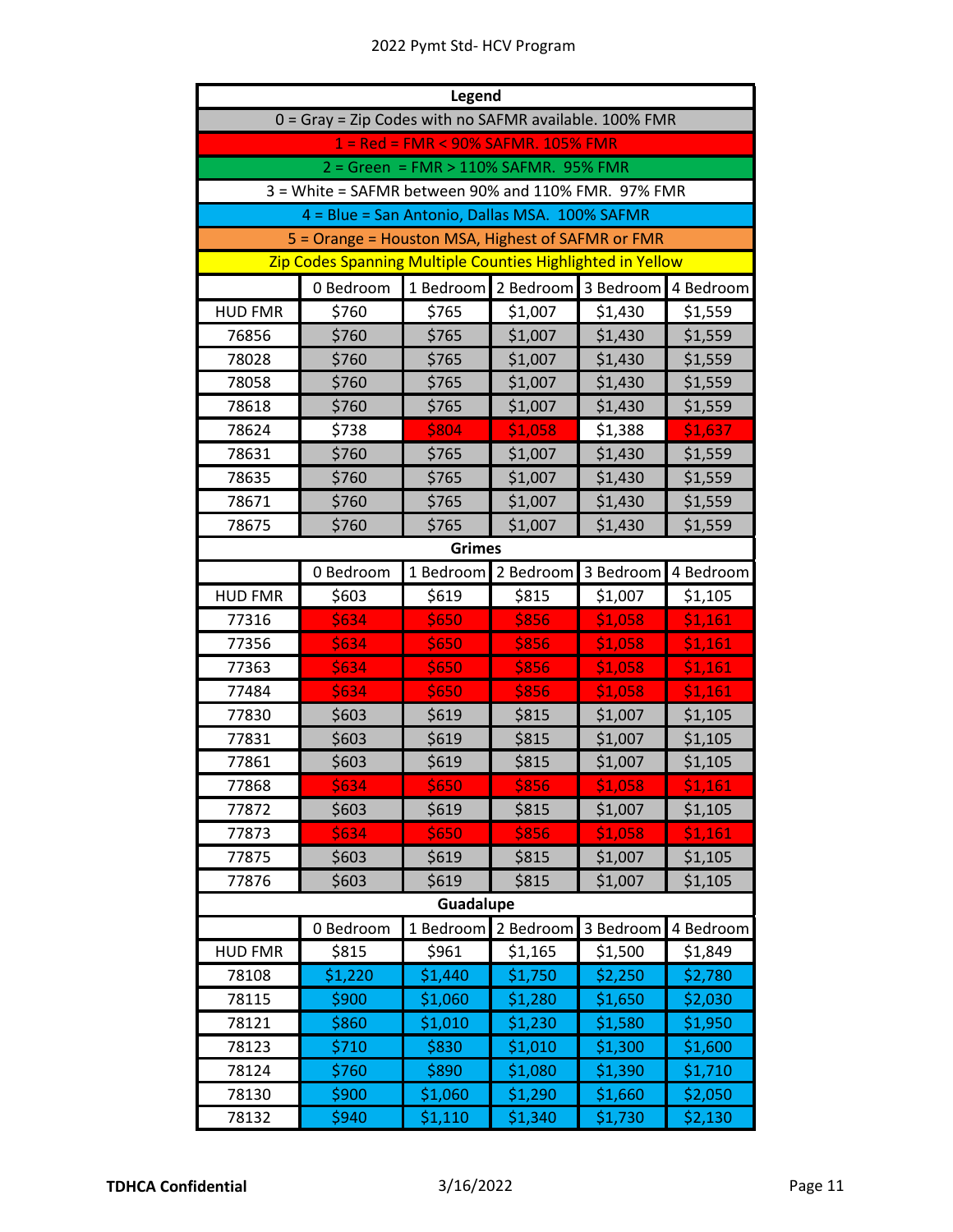| Legend         |                                                            |                                       |              |           |           |  |
|----------------|------------------------------------------------------------|---------------------------------------|--------------|-----------|-----------|--|
|                | 0 = Gray = Zip Codes with no SAFMR available. 100% FMR     |                                       |              |           |           |  |
|                |                                                            | 1 = Red = FMR < 90% SAFMR. 105% FMR   |              |           |           |  |
|                |                                                            | 2 = Green = FMR > 110% SAFMR. 95% FMR |              |           |           |  |
|                | 3 = White = SAFMR between 90% and 110% FMR. 97% FMR        |                                       |              |           |           |  |
|                | 4 = Blue = San Antonio, Dallas MSA. 100% SAFMR             |                                       |              |           |           |  |
|                | 5 = Orange = Houston MSA, Highest of SAFMR or FMR          |                                       |              |           |           |  |
|                | Zip Codes Spanning Multiple Counties Highlighted in Yellow |                                       |              |           |           |  |
|                | 0 Bedroom                                                  | 1 Bedroom                             | 2 Bedroom    | 3 Bedroom | 4 Bedroom |  |
| <b>HUD FMR</b> | \$760                                                      | \$765                                 | \$1,007      | \$1,430   | \$1,559   |  |
| 76856          | \$760                                                      | \$765                                 | \$1,007      | \$1,430   | \$1,559   |  |
| 78028          | \$760                                                      | \$765                                 | \$1,007      | \$1,430   | \$1,559   |  |
| 78058          | \$760                                                      | \$765                                 | \$1,007      | \$1,430   | \$1,559   |  |
| 78618          | \$760                                                      | \$765                                 | \$1,007      | \$1,430   | \$1,559   |  |
| 78624          | \$738                                                      | \$804                                 | \$1,058      | \$1,388   | \$1,637   |  |
| 78631          | \$760                                                      | \$765                                 | \$1,007      | \$1,430   | \$1,559   |  |
| 78635          | \$760                                                      | \$765                                 | \$1,007      | \$1,430   | \$1,559   |  |
| 78671          | \$760                                                      | \$765                                 | \$1,007      | \$1,430   | \$1,559   |  |
| 78675          | \$760                                                      | \$765                                 | \$1,007      | \$1,430   | \$1,559   |  |
|                |                                                            | <b>Grimes</b>                         |              |           |           |  |
|                | 0 Bedroom                                                  | 1 Bedroom                             | 2 Bedroom    | 3 Bedroom | 4 Bedroom |  |
| <b>HUD FMR</b> | \$603                                                      | \$619                                 | \$815        | \$1,007   | \$1,105   |  |
| 77316          | \$634                                                      | \$650                                 | \$856        | \$1,058   | \$1,161   |  |
| 77356          | \$634                                                      | \$650                                 | \$856        | \$1,058   | \$1,161   |  |
| 77363          | \$634                                                      | \$650                                 | \$856        | \$1,058   | \$1,161   |  |
| 77484          | \$634                                                      | \$650                                 | \$856        | \$1,058   | \$1,161   |  |
| 77830          | \$603                                                      | \$619                                 | \$815        | \$1,007   | \$1,105   |  |
| 77831          | \$603                                                      | \$619                                 | \$815        | \$1,007   | \$1,105   |  |
| 77861          | \$603                                                      | \$619                                 | \$815        | \$1,007   | \$1,105   |  |
| 77868          | <b>\$634</b>                                               | \$650                                 | <b>\$856</b> | \$1,058   | \$1,161   |  |
| 77872          | \$603                                                      | \$619                                 | \$815        | \$1,007   | \$1,105   |  |
| 77873          | \$634                                                      | \$650                                 | \$856        | \$1,058   | \$1,161   |  |
| 77875          | \$603                                                      | \$619                                 | \$815        | \$1,007   | \$1,105   |  |
| 77876          | \$603                                                      | \$619                                 | \$815        | \$1,007   | \$1,105   |  |
|                |                                                            | Guadalupe                             |              |           |           |  |
|                | 0 Bedroom                                                  | 1 Bedroom                             | 2 Bedroom    | 3 Bedroom | 4 Bedroom |  |
| <b>HUD FMR</b> | \$815                                                      | \$961                                 | \$1,165      | \$1,500   | \$1,849   |  |
| 78108          | \$1,220                                                    | \$1,440                               | \$1,750      | \$2,250   | \$2,780   |  |
| 78115          | \$900                                                      | \$1,060                               | \$1,280      | \$1,650   | \$2,030   |  |
| 78121          | \$860                                                      | \$1,010                               | \$1,230      | \$1,580   | \$1,950   |  |
| 78123          | \$710                                                      | \$830                                 | \$1,010      | \$1,300   | \$1,600   |  |
| 78124          | \$760                                                      | \$890                                 | \$1,080      | \$1,390   | \$1,710   |  |
| 78130          | \$900                                                      | \$1,060                               | \$1,290      | \$1,660   | \$2,050   |  |
| 78132          | \$940                                                      | \$1,110                               | \$1,340      | \$1,730   | \$2,130   |  |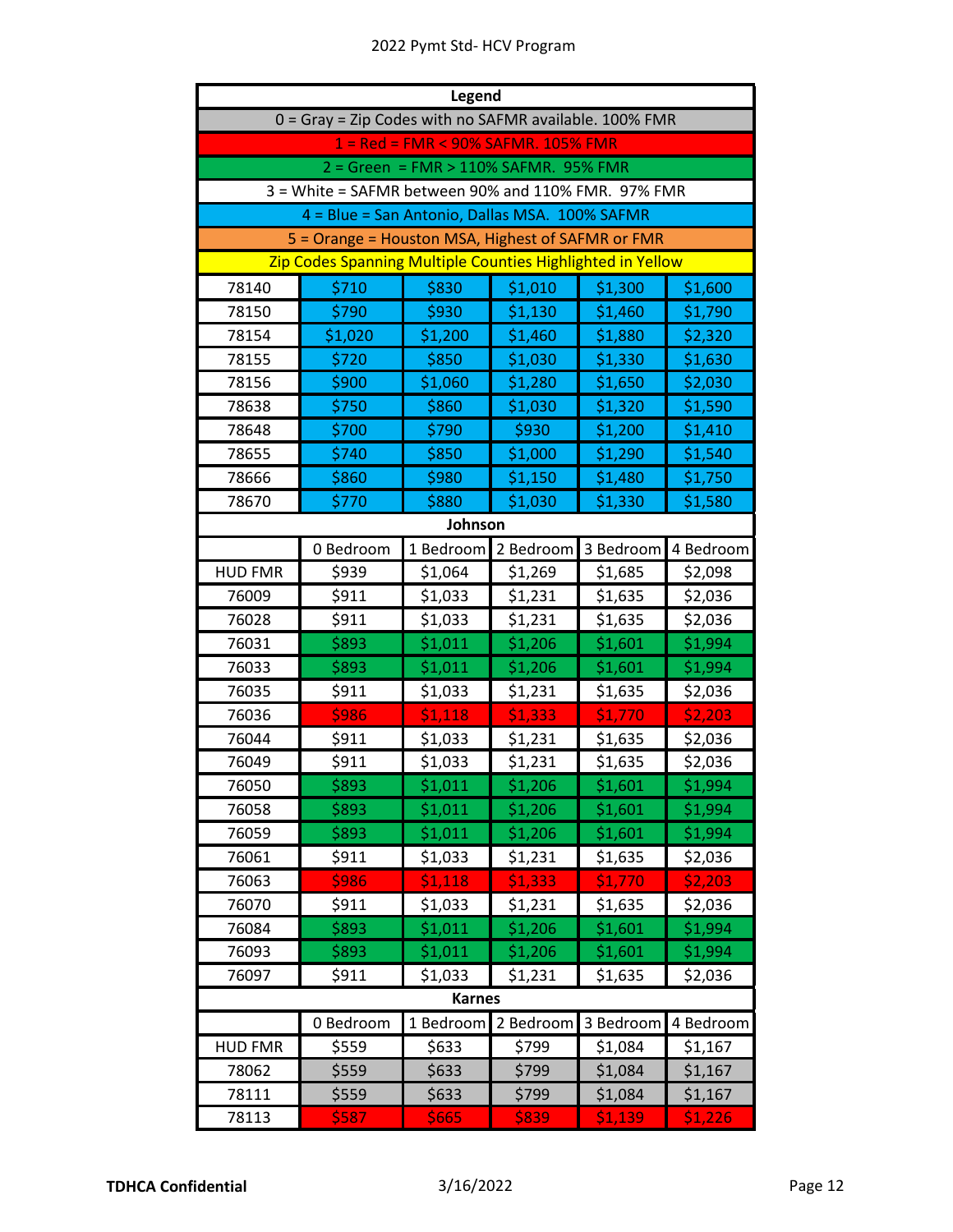| <b>Legend</b>  |                                                            |                                       |           |           |           |
|----------------|------------------------------------------------------------|---------------------------------------|-----------|-----------|-----------|
|                | 0 = Gray = Zip Codes with no SAFMR available. 100% FMR     |                                       |           |           |           |
|                |                                                            | 1 = Red = FMR < 90% SAFMR. 105% FMR   |           |           |           |
|                |                                                            | 2 = Green = FMR > 110% SAFMR. 95% FMR |           |           |           |
|                | 3 = White = SAFMR between 90% and 110% FMR. 97% FMR        |                                       |           |           |           |
|                | 4 = Blue = San Antonio, Dallas MSA. 100% SAFMR             |                                       |           |           |           |
|                | 5 = Orange = Houston MSA, Highest of SAFMR or FMR          |                                       |           |           |           |
|                | Zip Codes Spanning Multiple Counties Highlighted in Yellow |                                       |           |           |           |
| 78140          | \$710                                                      | \$830                                 | \$1,010   | \$1,300   | \$1,600   |
| 78150          | \$790                                                      | \$930                                 | \$1,130   | \$1,460   | \$1,790   |
| 78154          | \$1,020                                                    | \$1,200                               | \$1,460   | \$1,880   | \$2,320   |
| 78155          | \$720                                                      | \$850                                 | \$1,030   | \$1,330   | \$1,630   |
| 78156          | \$900                                                      | \$1,060                               | \$1,280   | \$1,650   | \$2,030   |
| 78638          | \$750                                                      | \$860                                 | \$1,030   | \$1,320   | \$1,590   |
| 78648          | \$700                                                      | \$790                                 | \$930     | \$1,200   | \$1,410   |
| 78655          | \$740                                                      | \$850                                 | \$1,000   | \$1,290   | \$1,540   |
| 78666          | \$860                                                      | \$980                                 | \$1,150   | \$1,480   | \$1,750   |
| 78670          | \$770                                                      | \$880                                 | \$1,030   | \$1,330   | \$1,580   |
|                |                                                            | Johnson                               |           |           |           |
|                | 0 Bedroom                                                  | 1 Bedroom                             | 2 Bedroom | 3 Bedroom | 4 Bedroom |
| <b>HUD FMR</b> | \$939                                                      | \$1,064                               | \$1,269   | \$1,685   | \$2,098   |
| 76009          | \$911                                                      | \$1,033                               | \$1,231   | \$1,635   | \$2,036   |
| 76028          | \$911                                                      | \$1,033                               | \$1,231   | \$1,635   | \$2,036   |
| 76031          | \$893                                                      | \$1,011                               | \$1,206   | \$1,601   | \$1,994   |
| 76033          | \$893                                                      | \$1,011                               | \$1,206   | \$1,601   | \$1,994   |
| 76035          | \$911                                                      | \$1,033                               | \$1,231   | \$1,635   | \$2,036   |
| 76036          | \$986                                                      | \$1,118                               | \$1,333   | \$1,770   | \$2,203   |
| 76044          | \$911                                                      | \$1,033                               | \$1,231   | \$1,635   | \$2,036   |
| 76049          | \$911                                                      | \$1,033                               | \$1,231   | \$1,635   | \$2,036   |
| 76050          | \$893                                                      | \$1,011                               | \$1,206   | \$1,601   | \$1,994   |
| 76058          | \$893                                                      | \$1,011                               | \$1,206   | \$1,601   | \$1,994   |
| 76059          | \$893                                                      | \$1,011                               | \$1,206   | \$1,601   | \$1,994   |
| 76061          | \$911                                                      | \$1,033                               | \$1,231   | \$1,635   | \$2,036   |
| 76063          | \$986                                                      | \$1,118                               | \$1,333   | \$1,770   | \$2,203   |
| 76070          | \$911                                                      | \$1,033                               | \$1,231   | \$1,635   | \$2,036   |
| 76084          | \$893                                                      | \$1,011                               | \$1,206   | \$1,601   | \$1,994   |
| 76093          | \$893                                                      | \$1,011                               | \$1,206   | \$1,601   | \$1,994   |
| 76097          | \$911                                                      | \$1,033                               | \$1,231   | \$1,635   | \$2,036   |
|                |                                                            | <b>Karnes</b>                         |           |           |           |
|                | 0 Bedroom                                                  | 1 Bedroom                             | 2 Bedroom | 3 Bedroom | 4 Bedroom |
| <b>HUD FMR</b> | \$559                                                      | \$633                                 | \$799     | \$1,084   | \$1,167   |
| 78062          | \$559                                                      | \$633                                 | \$799     | \$1,084   | \$1,167   |
| 78111          | \$559                                                      | \$633                                 | \$799     | \$1,084   | \$1,167   |
| 78113          | \$587                                                      | \$665                                 | \$839     | \$1,139   | \$1,226   |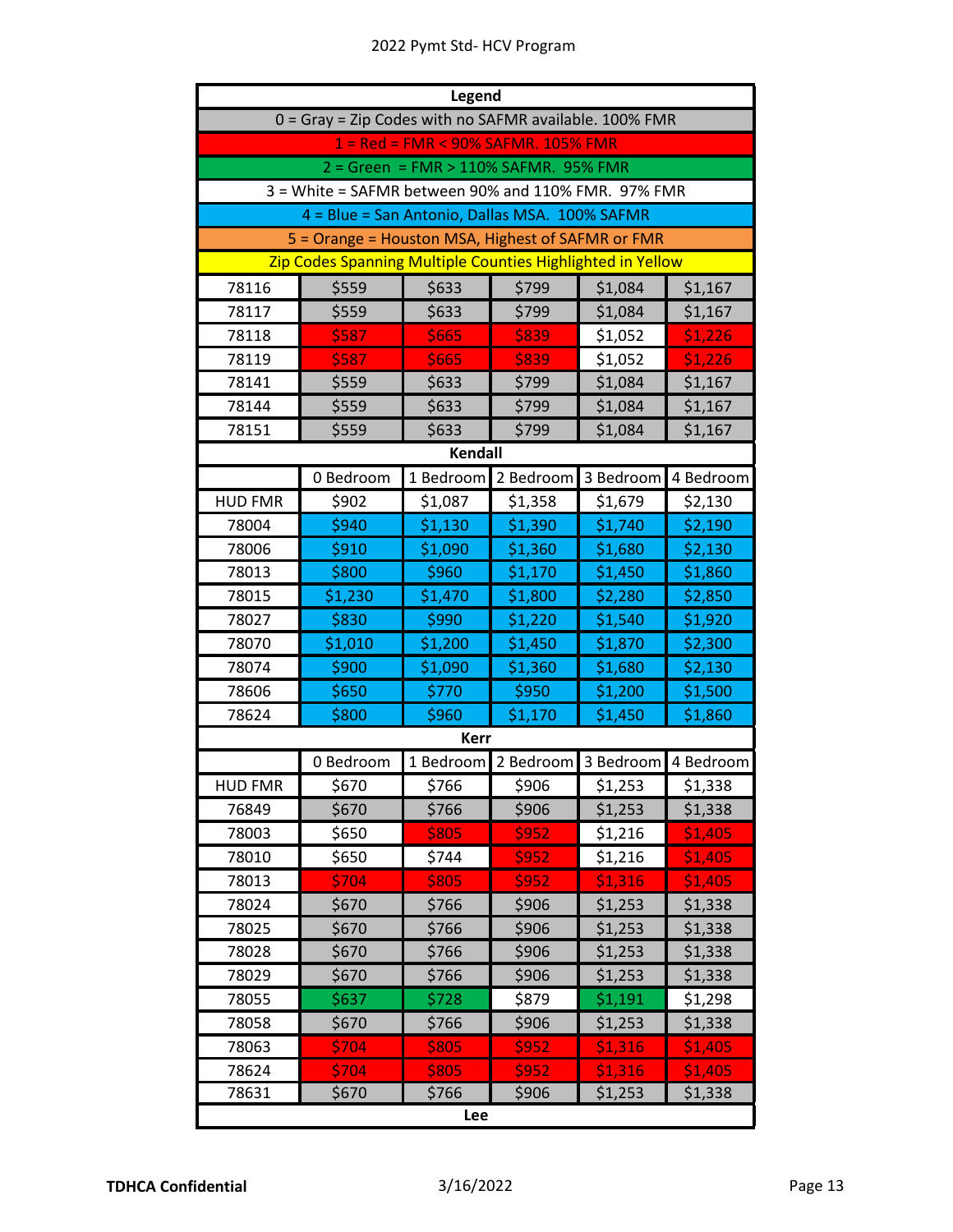| Legend                                                 |                                                               |                |           |           |           |  |  |  |
|--------------------------------------------------------|---------------------------------------------------------------|----------------|-----------|-----------|-----------|--|--|--|
| 0 = Gray = Zip Codes with no SAFMR available. 100% FMR |                                                               |                |           |           |           |  |  |  |
| 1 = Red = FMR < 90% SAFMR. 105% FMR                    |                                                               |                |           |           |           |  |  |  |
| 2 = Green = FMR > 110% SAFMR. 95% FMR                  |                                                               |                |           |           |           |  |  |  |
|                                                        | 3 = White = SAFMR between 90% and 110% FMR. 97% FMR           |                |           |           |           |  |  |  |
|                                                        | 4 = Blue = San Antonio, Dallas MSA. 100% SAFMR                |                |           |           |           |  |  |  |
|                                                        | 5 = Orange = Houston MSA, Highest of SAFMR or FMR             |                |           |           |           |  |  |  |
|                                                        | Zip Codes Spanning Multiple Counties Highlighted in Yellow    |                |           |           |           |  |  |  |
| 78116                                                  | \$559                                                         | \$633          | \$799     | \$1,084   | \$1,167   |  |  |  |
| 78117                                                  | \$559                                                         | \$633          | \$799     | \$1,084   | \$1,167   |  |  |  |
| 78118                                                  | \$587                                                         | \$665          | \$839     | \$1,052   | \$1,226   |  |  |  |
| 78119                                                  | \$587                                                         | \$665          | \$839     | \$1,052   | \$1,226   |  |  |  |
| 78141                                                  | \$559                                                         | \$633          | \$799     | \$1,084   | \$1,167   |  |  |  |
| 78144                                                  | \$559                                                         | \$633          | \$799     | \$1,084   | \$1,167   |  |  |  |
| 78151                                                  | \$559                                                         | \$633          | \$799     | \$1,084   | \$1,167   |  |  |  |
|                                                        |                                                               | <b>Kendall</b> |           |           |           |  |  |  |
|                                                        | 1 Bedroom<br>3 Bedroom<br>0 Bedroom<br>2 Bedroom<br>4 Bedroom |                |           |           |           |  |  |  |
| <b>HUD FMR</b>                                         | \$902                                                         | \$1,087        | \$1,358   | \$1,679   | \$2,130   |  |  |  |
| 78004                                                  | \$940                                                         | \$1,130        | \$1,390   | \$1,740   | \$2,190   |  |  |  |
| 78006                                                  | \$910                                                         | \$1,090        | \$1,360   | \$1,680   | \$2,130   |  |  |  |
| 78013                                                  | \$800                                                         | \$960          | \$1,170   | \$1,450   | \$1,860   |  |  |  |
| 78015                                                  | \$1,230                                                       | \$1,470        | \$1,800   | \$2,280   | \$2,850   |  |  |  |
| 78027                                                  | \$830                                                         | \$990          | \$1,220   | \$1,540   | \$1,920   |  |  |  |
| 78070                                                  | \$1,010                                                       | \$1,200        | \$1,450   | \$1,870   | \$2,300   |  |  |  |
| 78074                                                  | \$900                                                         | \$1,090        | \$1,360   | \$1,680   | \$2,130   |  |  |  |
| 78606                                                  | \$650                                                         | \$770          | \$950     | \$1,200   | \$1,500   |  |  |  |
| 78624                                                  | \$800                                                         | \$960          | \$1,170   | \$1,450   | \$1,860   |  |  |  |
|                                                        |                                                               | <b>Kerr</b>    |           |           |           |  |  |  |
|                                                        | 0 Bedroom                                                     | 1 Bedroom      | 2 Bedroom | 3 Bedroom | 4 Bedroom |  |  |  |
| <b>HUD FMR</b>                                         | \$670                                                         | \$766          | \$906     | \$1,253   | \$1,338   |  |  |  |
| 76849                                                  | \$670                                                         | \$766          | \$906     | \$1,253   | \$1,338   |  |  |  |
| 78003                                                  | \$650                                                         | \$805          | \$952     | \$1,216   | \$1,405   |  |  |  |
| 78010                                                  | \$650                                                         | \$744          | \$952     | \$1,216   | \$1,405   |  |  |  |
| 78013                                                  | \$704                                                         | \$805          | \$952     | \$1,316   | \$1,405   |  |  |  |
| 78024                                                  | \$670                                                         | \$766          | \$906     | \$1,253   | \$1,338   |  |  |  |
| 78025                                                  | \$670                                                         | \$766          | \$906     | \$1,253   | \$1,338   |  |  |  |
| 78028                                                  | \$670                                                         | \$766          | \$906     | \$1,253   | \$1,338   |  |  |  |
| 78029                                                  | \$670                                                         | \$766          | \$906     | \$1,253   | \$1,338   |  |  |  |
| 78055                                                  | \$637                                                         | \$728          | \$879     | \$1,191   | \$1,298   |  |  |  |
| 78058                                                  | \$670                                                         | \$766          | \$906     | \$1,253   | \$1,338   |  |  |  |
| 78063                                                  | \$704                                                         | \$805          | \$952     | \$1,316   | \$1,405   |  |  |  |
| 78624                                                  | \$704                                                         | \$805          | \$952     | \$1,316   | \$1,405   |  |  |  |
| 78631                                                  | \$670                                                         | \$766          | \$906     | \$1,253   | \$1,338   |  |  |  |
| Lee                                                    |                                                               |                |           |           |           |  |  |  |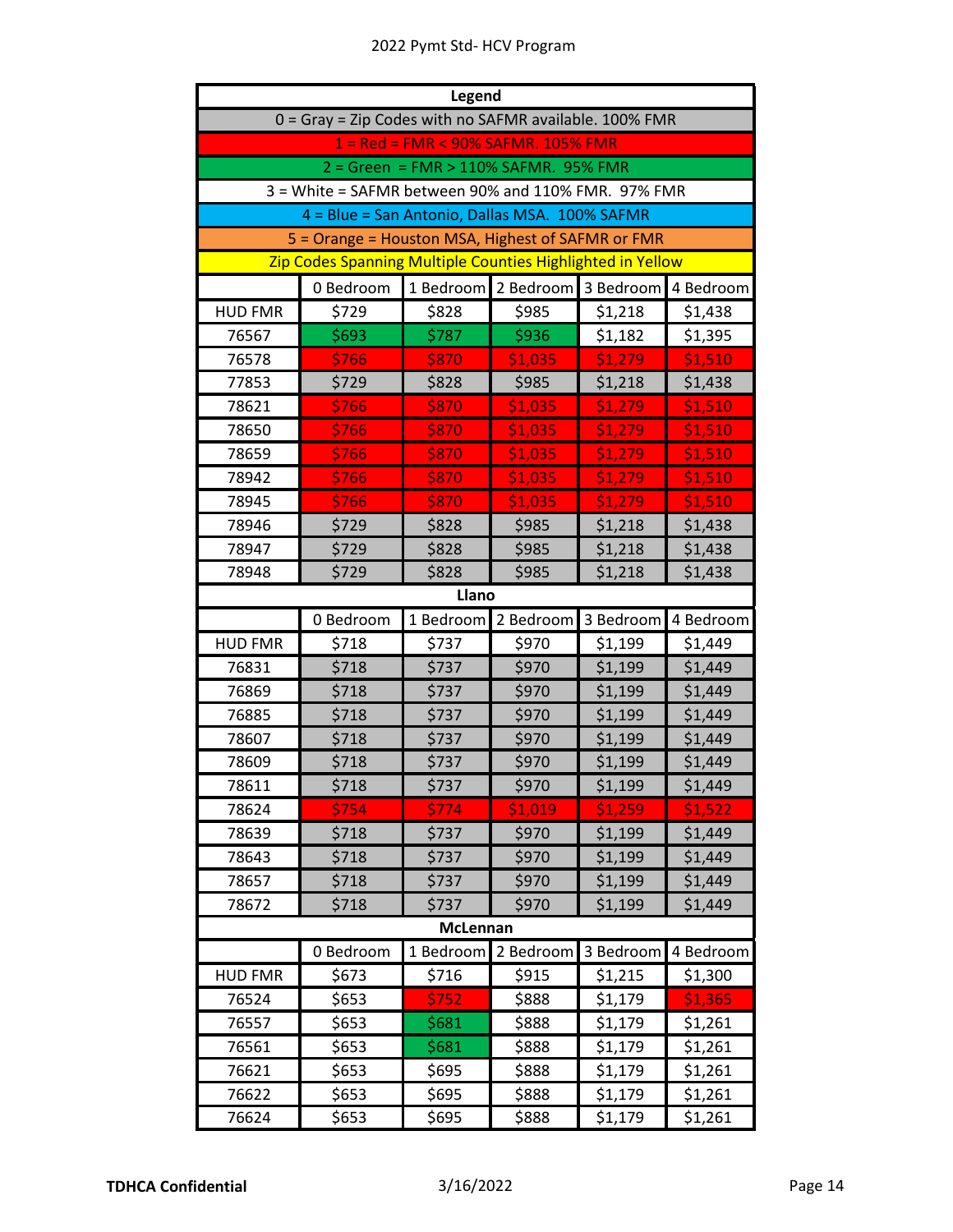| <b>Legend</b>                                          |                                                            |           |           |           |           |  |  |
|--------------------------------------------------------|------------------------------------------------------------|-----------|-----------|-----------|-----------|--|--|
| 0 = Gray = Zip Codes with no SAFMR available. 100% FMR |                                                            |           |           |           |           |  |  |
| 1 = Red = FMR < 90% SAFMR. 105% FMR                    |                                                            |           |           |           |           |  |  |
| 2 = Green = FMR > 110% SAFMR. 95% FMR                  |                                                            |           |           |           |           |  |  |
| 3 = White = SAFMR between 90% and 110% FMR. 97% FMR    |                                                            |           |           |           |           |  |  |
|                                                        | 4 = Blue = San Antonio, Dallas MSA. 100% SAFMR             |           |           |           |           |  |  |
|                                                        | 5 = Orange = Houston MSA, Highest of SAFMR or FMR          |           |           |           |           |  |  |
|                                                        | Zip Codes Spanning Multiple Counties Highlighted in Yellow |           |           |           |           |  |  |
|                                                        | 0 Bedroom                                                  | 1 Bedroom | 2 Bedroom | 3 Bedroom | 4 Bedroom |  |  |
| <b>HUD FMR</b>                                         | \$729                                                      | \$828     | \$985     | \$1,218   | \$1,438   |  |  |
| 76567                                                  | \$693                                                      | \$787     | \$936     | \$1,182   | \$1,395   |  |  |
| 76578                                                  | \$766                                                      | \$870     | \$1,035   | \$1,279   | \$1,510   |  |  |
| 77853                                                  | \$729                                                      | \$828     | \$985     | \$1,218   | \$1,438   |  |  |
| 78621                                                  | \$766                                                      | \$870     | \$1,035   | \$1,279   | \$1,510   |  |  |
| 78650                                                  | \$766                                                      | \$870     | \$1,035   | \$1,279   | \$1,510   |  |  |
| 78659                                                  | \$766                                                      | \$870     | \$1,035   | \$1,279   | \$1,510   |  |  |
| 78942                                                  | \$766                                                      | \$870     | \$1,035   | \$1,279   | \$1,510   |  |  |
| 78945                                                  | \$766                                                      | \$870     | \$1,035   | \$1,279   | \$1,510   |  |  |
| 78946                                                  | \$729                                                      | \$828     | \$985     | \$1,218   | \$1,438   |  |  |
| 78947                                                  | \$729                                                      | \$828     | \$985     | \$1,218   | \$1,438   |  |  |
| 78948                                                  | \$729                                                      | \$828     | \$985     | \$1,218   | \$1,438   |  |  |
|                                                        |                                                            | Llano     |           |           |           |  |  |
|                                                        | 0 Bedroom                                                  | 1 Bedroom | 2 Bedroom | 3 Bedroom | 4 Bedroom |  |  |
| <b>HUD FMR</b>                                         | \$718                                                      | \$737     | \$970     | \$1,199   | \$1,449   |  |  |
| 76831                                                  | \$718                                                      | \$737     | \$970     | \$1,199   | \$1,449   |  |  |
| 76869                                                  | \$718                                                      | \$737     | \$970     | \$1,199   | \$1,449   |  |  |
| 76885                                                  | \$718                                                      | \$737     | \$970     | \$1,199   | \$1,449   |  |  |
| 78607                                                  | \$718                                                      | \$737     | \$970     | \$1,199   | \$1,449   |  |  |
| 78609                                                  | \$718                                                      | \$737     | \$970     | \$1,199   | \$1,449   |  |  |
| 78611                                                  | \$718                                                      | \$737     | \$970     | \$1,199   | \$1,449   |  |  |
| 78624                                                  | \$754                                                      | \$774     | \$1,019   | \$1,259   | \$1,522   |  |  |
| 78639                                                  | \$718                                                      | \$737     | \$970     | \$1,199   | \$1,449   |  |  |
| 78643                                                  | \$718                                                      | \$737     | \$970     | \$1,199   | \$1,449   |  |  |
| 78657                                                  | \$718                                                      | \$737     | \$970     | \$1,199   | \$1,449   |  |  |
| 78672                                                  | \$718                                                      | \$737     | \$970     | \$1,199   | \$1,449   |  |  |
| <b>McLennan</b>                                        |                                                            |           |           |           |           |  |  |
|                                                        | 0 Bedroom                                                  | 1 Bedroom | 2 Bedroom | 3 Bedroom | 4 Bedroom |  |  |
| <b>HUD FMR</b>                                         | \$673                                                      | \$716     | \$915     | \$1,215   | \$1,300   |  |  |
| 76524                                                  | \$653                                                      | \$752     | \$888     | \$1,179   | \$1,365   |  |  |
| 76557                                                  | \$653                                                      | \$681     | \$888     | \$1,179   | \$1,261   |  |  |
| 76561                                                  | \$653                                                      | \$681     | \$888     | \$1,179   | \$1,261   |  |  |
| 76621                                                  | \$653                                                      | \$695     | \$888     | \$1,179   | \$1,261   |  |  |
| 76622                                                  | \$653                                                      | \$695     | \$888     | \$1,179   | \$1,261   |  |  |
| 76624                                                  | \$653                                                      | \$695     | \$888     | \$1,179   | \$1,261   |  |  |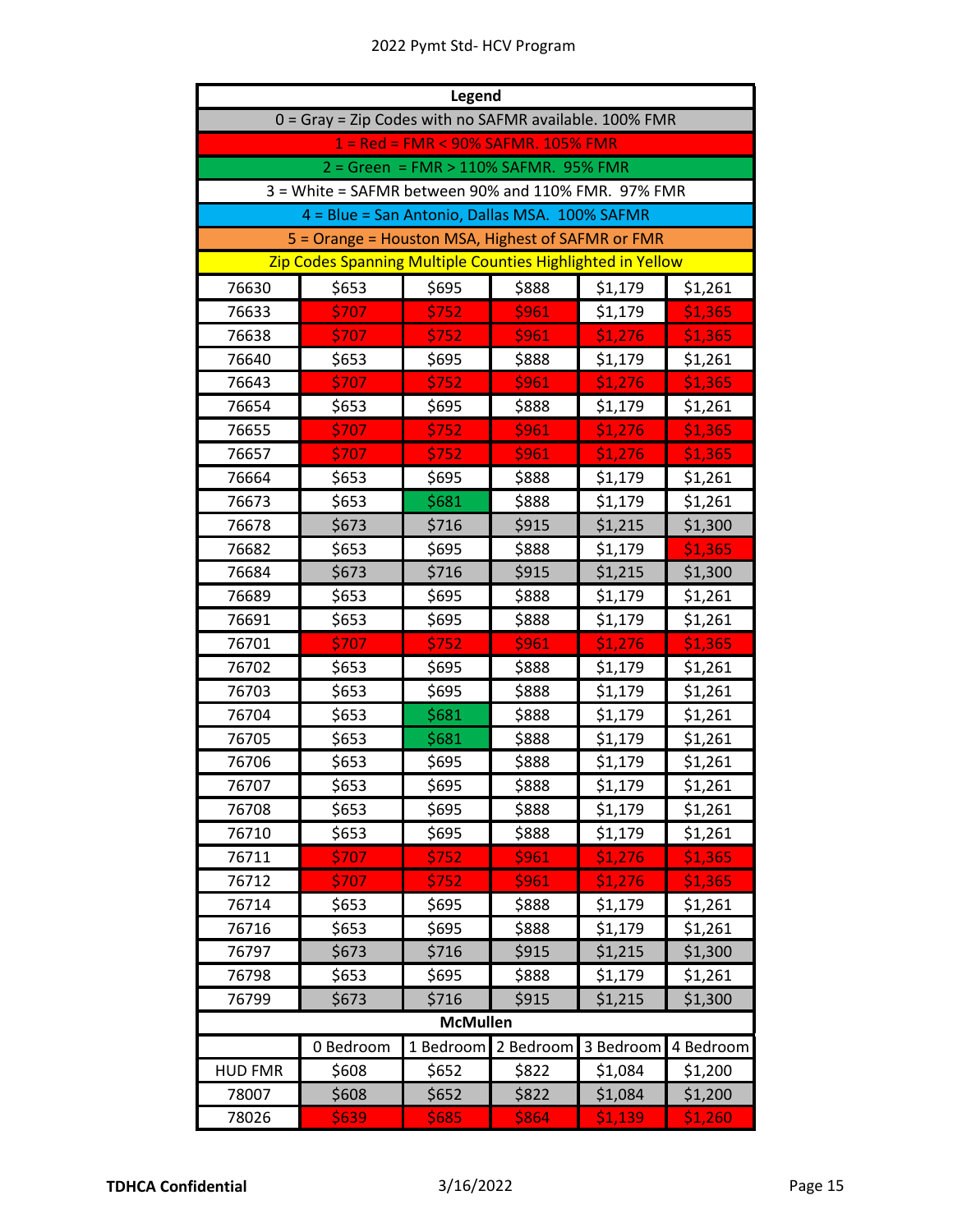| Legend                                                        |                                                            |       |       |         |         |  |
|---------------------------------------------------------------|------------------------------------------------------------|-------|-------|---------|---------|--|
| 0 = Gray = Zip Codes with no SAFMR available. 100% FMR        |                                                            |       |       |         |         |  |
| 1 = Red = FMR < 90% SAFMR. 105% FMR                           |                                                            |       |       |         |         |  |
| 2 = Green = FMR > 110% SAFMR. 95% FMR                         |                                                            |       |       |         |         |  |
| 3 = White = SAFMR between 90% and 110% FMR. 97% FMR           |                                                            |       |       |         |         |  |
|                                                               | 4 = Blue = San Antonio, Dallas MSA. 100% SAFMR             |       |       |         |         |  |
|                                                               | 5 = Orange = Houston MSA, Highest of SAFMR or FMR          |       |       |         |         |  |
|                                                               | Zip Codes Spanning Multiple Counties Highlighted in Yellow |       |       |         |         |  |
| 76630                                                         | \$653                                                      | \$695 | \$888 | \$1,179 | \$1,261 |  |
| 76633                                                         | \$707                                                      | \$752 | \$961 | \$1,179 | \$1,365 |  |
| 76638                                                         | \$707                                                      | \$752 | \$961 | \$1,276 | \$1,365 |  |
| 76640                                                         | \$653                                                      | \$695 | \$888 | \$1,179 | \$1,261 |  |
| 76643                                                         | \$707                                                      | \$752 | \$961 | \$1,276 | \$1,365 |  |
| 76654                                                         | \$653                                                      | \$695 | \$888 | \$1,179 | \$1,261 |  |
| 76655                                                         | \$707                                                      | \$752 | \$961 | \$1,276 | \$1,365 |  |
| 76657                                                         | \$707                                                      | \$752 | \$961 | \$1,276 | \$1,365 |  |
| 76664                                                         | \$653                                                      | \$695 | \$888 | \$1,179 | \$1,261 |  |
| 76673                                                         | \$653                                                      | \$681 | \$888 | \$1,179 | \$1,261 |  |
| 76678                                                         | \$673                                                      | \$716 | \$915 | \$1,215 | \$1,300 |  |
| 76682                                                         | \$653                                                      | \$695 | \$888 | \$1,179 | \$1,365 |  |
| 76684                                                         | \$673                                                      | \$716 | \$915 | \$1,215 | \$1,300 |  |
| 76689                                                         | \$653                                                      | \$695 | \$888 | \$1,179 | \$1,261 |  |
| 76691                                                         | \$653                                                      | \$695 | \$888 | \$1,179 | \$1,261 |  |
| 76701                                                         | \$707                                                      | \$752 | \$961 | \$1,276 | \$1,365 |  |
| 76702                                                         | \$653                                                      | \$695 | \$888 | \$1,179 | \$1,261 |  |
| 76703                                                         | \$653                                                      | \$695 | \$888 | \$1,179 | \$1,261 |  |
| 76704                                                         | \$653                                                      | \$681 | \$888 | \$1,179 | \$1,261 |  |
| 76705                                                         | \$653                                                      | \$681 | \$888 | \$1,179 | \$1,261 |  |
| 76706                                                         | \$653                                                      | \$695 | \$888 | \$1,179 | \$1,261 |  |
| 76707                                                         | \$653                                                      | \$695 | \$888 | \$1,179 | \$1,261 |  |
| 76708                                                         | \$653                                                      | \$695 | \$888 | \$1,179 | \$1,261 |  |
| 76710                                                         | \$653                                                      | \$695 | \$888 | \$1,179 | \$1,261 |  |
| 76711                                                         | \$707                                                      | \$752 | \$961 | \$1,276 | \$1,365 |  |
| 76712                                                         | \$707                                                      | \$752 | \$961 | \$1,276 | \$1,365 |  |
| 76714                                                         | \$653                                                      | \$695 | \$888 | \$1,179 | \$1,261 |  |
| 76716                                                         | \$653                                                      | \$695 | \$888 | \$1,179 | \$1,261 |  |
| 76797                                                         | \$673                                                      | \$716 | \$915 | \$1,215 | \$1,300 |  |
| 76798                                                         | \$653                                                      | \$695 | \$888 | \$1,179 | \$1,261 |  |
| 76799                                                         | \$673                                                      | \$716 | \$915 | \$1,215 | \$1,300 |  |
| <b>McMullen</b>                                               |                                                            |       |       |         |         |  |
| 0 Bedroom<br>1 Bedroom<br>2 Bedroom<br>3 Bedroom<br>4 Bedroom |                                                            |       |       |         |         |  |
| <b>HUD FMR</b>                                                | \$608                                                      | \$652 | \$822 | \$1,084 | \$1,200 |  |
| 78007                                                         | \$608                                                      | \$652 | \$822 | \$1,084 | \$1,200 |  |
| 78026                                                         | \$639                                                      | \$685 | \$864 | \$1,139 | \$1,260 |  |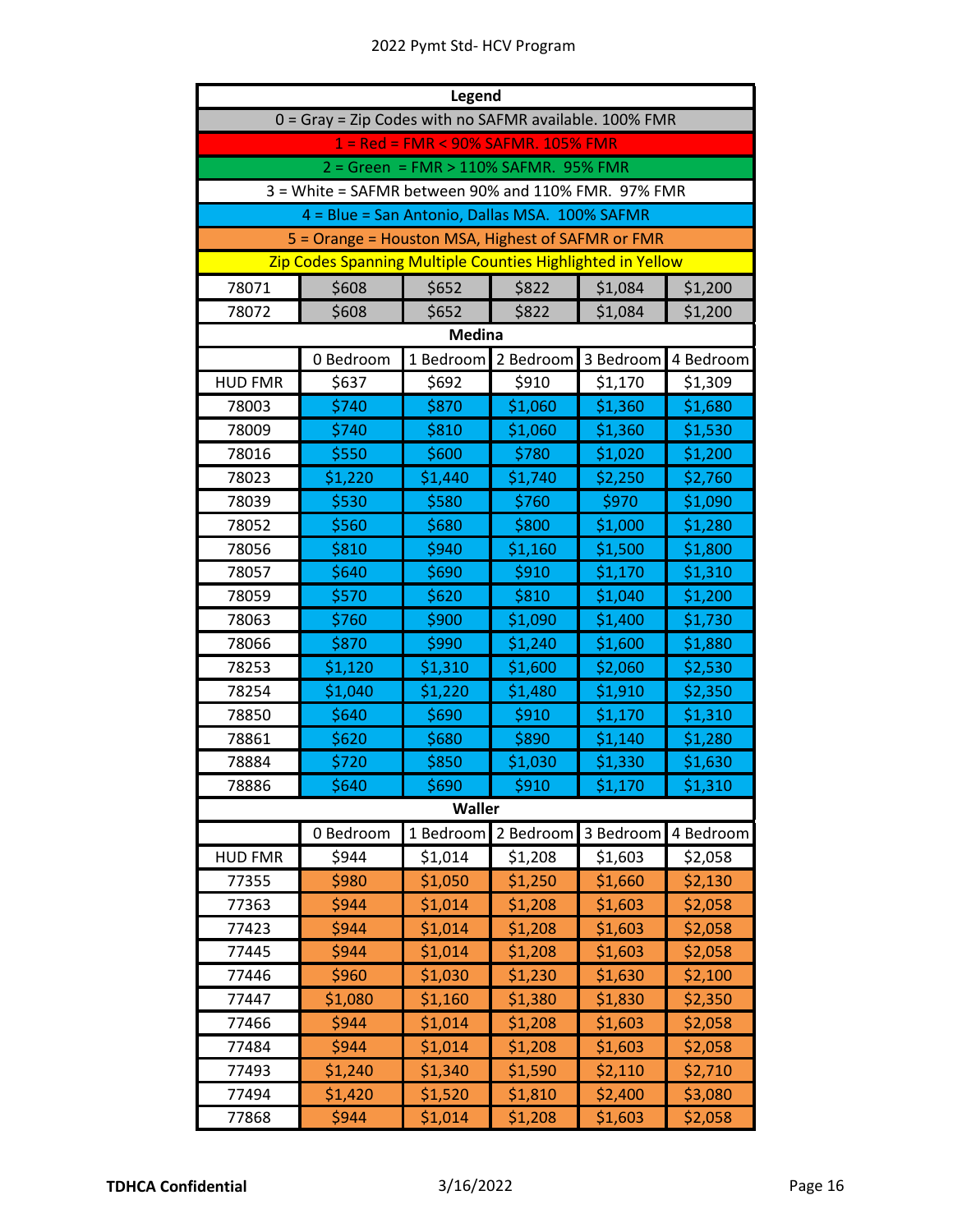| Legend                                                 |                                                            |               |           |           |           |
|--------------------------------------------------------|------------------------------------------------------------|---------------|-----------|-----------|-----------|
| 0 = Gray = Zip Codes with no SAFMR available. 100% FMR |                                                            |               |           |           |           |
| 1 = Red = FMR < 90% SAFMR. 105% FMR                    |                                                            |               |           |           |           |
| 2 = Green = FMR > 110% SAFMR. 95% FMR                  |                                                            |               |           |           |           |
| 3 = White = SAFMR between 90% and 110% FMR. 97% FMR    |                                                            |               |           |           |           |
|                                                        | 4 = Blue = San Antonio, Dallas MSA. 100% SAFMR             |               |           |           |           |
|                                                        | 5 = Orange = Houston MSA, Highest of SAFMR or FMR          |               |           |           |           |
|                                                        | Zip Codes Spanning Multiple Counties Highlighted in Yellow |               |           |           |           |
| 78071                                                  | \$608                                                      | \$652         | \$822     | \$1,084   | \$1,200   |
| 78072                                                  | \$608                                                      | \$652         | \$822     | \$1,084   | \$1,200   |
|                                                        |                                                            | <b>Medina</b> |           |           |           |
|                                                        | 0 Bedroom                                                  | 1 Bedroom     | 2 Bedroom | 3 Bedroom | 4 Bedroom |
| <b>HUD FMR</b>                                         | \$637                                                      | \$692         | \$910     | \$1,170   | \$1,309   |
| 78003                                                  | \$740                                                      | \$870         | \$1,060   | \$1,360   | \$1,680   |
| 78009                                                  | \$740                                                      | \$810         | \$1,060   | \$1,360   | \$1,530   |
| 78016                                                  | \$550                                                      | \$600         | \$780     | \$1,020   | \$1,200   |
| 78023                                                  | \$1,220                                                    | \$1,440       | \$1,740   | \$2,250   | \$2,760   |
| 78039                                                  | \$530                                                      | \$580         | \$760     | \$970     | \$1,090   |
| 78052                                                  | \$560                                                      | \$680         | \$800     | \$1,000   | \$1,280   |
| 78056                                                  | \$810                                                      | \$940         | \$1,160   | \$1,500   | \$1,800   |
| 78057                                                  | \$640                                                      | \$690         | \$910     | \$1,170   | \$1,310   |
| 78059                                                  | \$570                                                      | \$620         | \$810     | \$1,040   | \$1,200   |
| 78063                                                  | \$760                                                      | \$900         | \$1,090   | \$1,400   | \$1,730   |
| 78066                                                  | \$870                                                      | \$990         | \$1,240   | \$1,600   | \$1,880   |
| 78253                                                  | \$1,120                                                    | \$1,310       | \$1,600   | \$2,060   | \$2,530   |
| 78254                                                  | \$1,040                                                    | \$1,220       | \$1,480   | \$1,910   | \$2,350   |
| 78850                                                  | \$640                                                      | \$690         | \$910     | \$1,170   | \$1,310   |
| 78861                                                  | \$620                                                      | \$680         | \$890     | \$1,140   | \$1,280   |
| 78884                                                  | \$720                                                      | \$850         | \$1,030   | \$1,330   | \$1,630   |
| 78886                                                  | \$640                                                      | \$690         | \$910     | \$1,170   | \$1,310   |
|                                                        |                                                            | <b>Waller</b> |           |           |           |
|                                                        | 0 Bedroom                                                  | 1 Bedroom     | 2 Bedroom | 3 Bedroom | 4 Bedroom |
| <b>HUD FMR</b>                                         | \$944                                                      | \$1,014       | \$1,208   | \$1,603   | \$2,058   |
| 77355                                                  | \$980                                                      | \$1,050       | \$1,250   | \$1,660   | \$2,130   |
| 77363                                                  | \$944                                                      | \$1,014       | \$1,208   | \$1,603   | \$2,058   |
| 77423                                                  | \$944                                                      | \$1,014       | \$1,208   | \$1,603   | \$2,058   |
| 77445                                                  | \$944                                                      | \$1,014       | \$1,208   | \$1,603   | \$2,058   |
| 77446                                                  | \$960                                                      | \$1,030       | \$1,230   | \$1,630   | \$2,100   |
| 77447                                                  | \$1,080                                                    | \$1,160       | \$1,380   | \$1,830   | \$2,350   |
| 77466                                                  | \$944                                                      | \$1,014       | \$1,208   | \$1,603   | \$2,058   |
| 77484                                                  | \$944                                                      | \$1,014       | \$1,208   | \$1,603   | \$2,058   |
| 77493                                                  | \$1,240                                                    | \$1,340       | \$1,590   | \$2,110   | \$2,710   |
| 77494                                                  | \$1,420                                                    | \$1,520       | \$1,810   | \$2,400   | \$3,080   |
| 77868                                                  | \$944                                                      | \$1,014       | \$1,208   | \$1,603   | \$2,058   |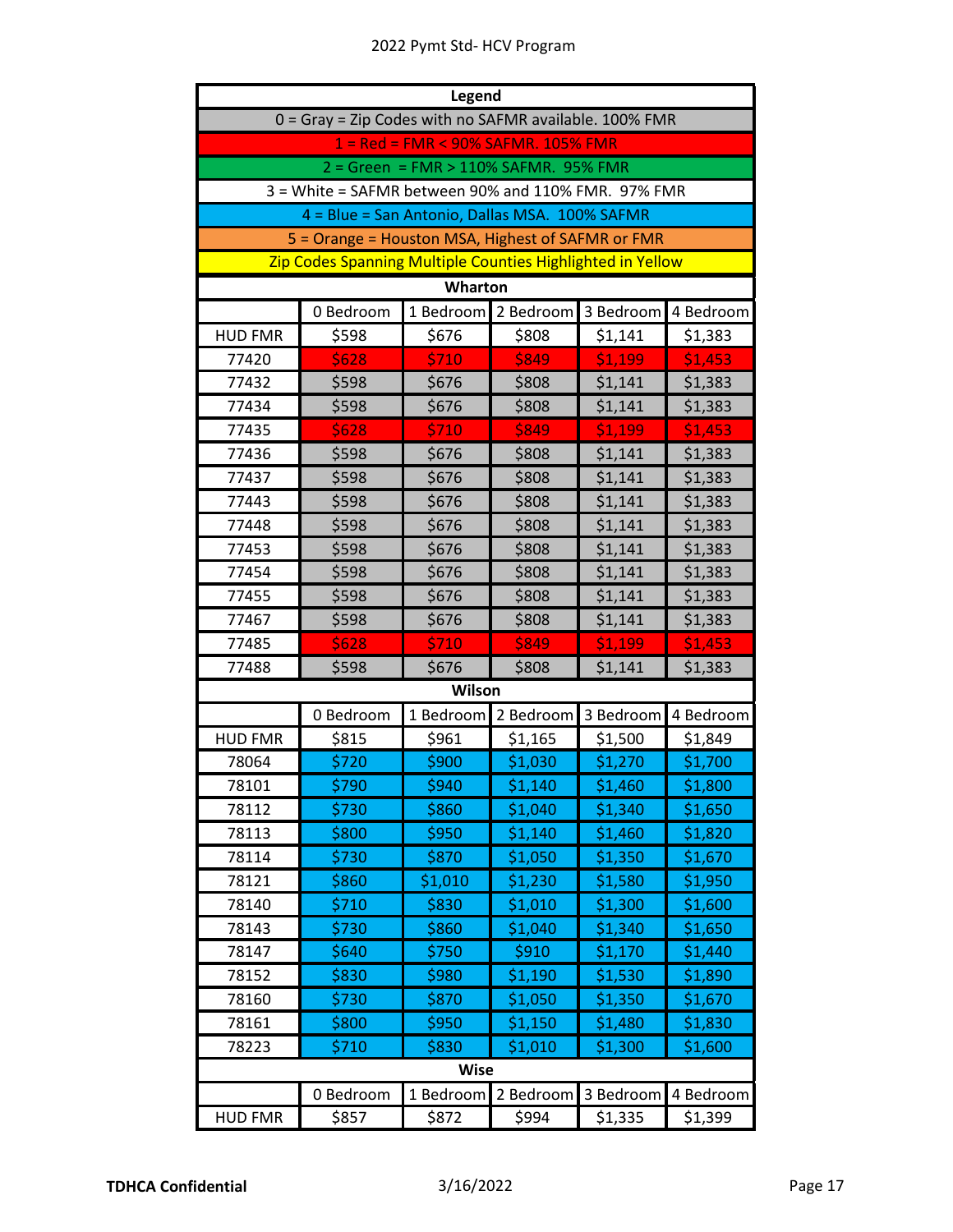| Legend                                                 |                                                               |           |           |           |           |  |  |
|--------------------------------------------------------|---------------------------------------------------------------|-----------|-----------|-----------|-----------|--|--|
| 0 = Gray = Zip Codes with no SAFMR available. 100% FMR |                                                               |           |           |           |           |  |  |
| 1 = Red = FMR < 90% SAFMR. 105% FMR                    |                                                               |           |           |           |           |  |  |
| 2 = Green = FMR > 110% SAFMR. 95% FMR                  |                                                               |           |           |           |           |  |  |
|                                                        | 3 = White = SAFMR between 90% and 110% FMR. 97% FMR           |           |           |           |           |  |  |
|                                                        | 4 = Blue = San Antonio, Dallas MSA. 100% SAFMR                |           |           |           |           |  |  |
|                                                        | 5 = Orange = Houston MSA, Highest of SAFMR or FMR             |           |           |           |           |  |  |
|                                                        | Zip Codes Spanning Multiple Counties Highlighted in Yellow    |           |           |           |           |  |  |
|                                                        |                                                               | Wharton   |           |           |           |  |  |
|                                                        | 1 Bedroom<br>3 Bedroom<br>4 Bedroom<br>0 Bedroom<br>2 Bedroom |           |           |           |           |  |  |
| <b>HUD FMR</b>                                         | \$598                                                         | \$676     | \$808     | \$1,141   | \$1,383   |  |  |
| 77420                                                  | \$628                                                         | \$710     | \$849     | \$1,199   | \$1,453   |  |  |
| 77432                                                  | \$598                                                         | \$676     | \$808     | \$1,141   | \$1,383   |  |  |
| 77434                                                  | \$598                                                         | \$676     | \$808     | \$1,141   | \$1,383   |  |  |
| 77435                                                  | \$628                                                         | \$710     | \$849     | \$1,199   | \$1,453   |  |  |
| 77436                                                  | \$598                                                         | \$676     | \$808     | \$1,141   | \$1,383   |  |  |
| 77437                                                  | \$598                                                         | \$676     | \$808     | \$1,141   | \$1,383   |  |  |
| 77443                                                  | \$598                                                         | \$676     | \$808     | \$1,141   | \$1,383   |  |  |
| 77448                                                  | \$598                                                         | \$676     | \$808     | \$1,141   | \$1,383   |  |  |
| 77453                                                  | \$598                                                         | \$676     | \$808     | \$1,141   | \$1,383   |  |  |
| 77454                                                  | \$598                                                         | \$676     | \$808     | \$1,141   | \$1,383   |  |  |
| 77455                                                  | \$598                                                         | \$676     | \$808     | \$1,141   | \$1,383   |  |  |
| 77467                                                  | \$598                                                         | \$676     | \$808     | \$1,141   | \$1,383   |  |  |
| 77485                                                  | \$628                                                         | \$710     | \$849     | \$1,199   | \$1,453   |  |  |
| 77488                                                  | \$598                                                         | \$676     | \$808     | \$1,141   | \$1,383   |  |  |
|                                                        |                                                               | Wilson    |           |           |           |  |  |
|                                                        | 0 Bedroom                                                     | 1 Bedroom | 2 Bedroom | 3 Bedroom | 4 Bedroom |  |  |
| <b>HUD FMR</b>                                         | \$815                                                         | \$961     | \$1,165   | \$1,500   | \$1,849   |  |  |
| 78064                                                  | \$720                                                         | \$900     | \$1,030   | \$1,270   | \$1,700   |  |  |
| 78101                                                  | \$790                                                         | \$940     | Ş1,140    | \$1,460   | \$1,800   |  |  |
| 78112                                                  | \$730                                                         | \$860     | \$1,040   | \$1,340   | \$1,650   |  |  |
| 78113                                                  | \$800                                                         | \$950     | \$1,140   | \$1,460   | \$1,820   |  |  |
| 78114                                                  | \$730                                                         | \$870     | \$1,050   | \$1,350   | \$1,670   |  |  |
| 78121                                                  | \$860                                                         | \$1,010   | \$1,230   | \$1,580   | \$1,950   |  |  |
| 78140                                                  | \$710                                                         | \$830     | \$1,010   | \$1,300   | \$1,600   |  |  |
| 78143                                                  | \$730                                                         | \$860     | \$1,040   | \$1,340   | \$1,650   |  |  |
| 78147                                                  | \$640                                                         | \$750     | \$910     | \$1,170   | \$1,440   |  |  |
| 78152                                                  | \$830                                                         | \$980     | \$1,190   | \$1,530   | \$1,890   |  |  |
| 78160                                                  | \$730                                                         | \$870     | \$1,050   | \$1,350   | \$1,670   |  |  |
| 78161                                                  | \$800                                                         | \$950     | \$1,150   | \$1,480   | \$1,830   |  |  |
| 78223                                                  | \$710                                                         | \$830     | \$1,010   | \$1,300   | \$1,600   |  |  |
| <b>Wise</b>                                            |                                                               |           |           |           |           |  |  |
|                                                        | 0 Bedroom                                                     | 1 Bedroom | 2 Bedroom | 3 Bedroom | 4 Bedroom |  |  |
| <b>HUD FMR</b>                                         | \$857                                                         | \$872     | \$994     | \$1,335   | \$1,399   |  |  |